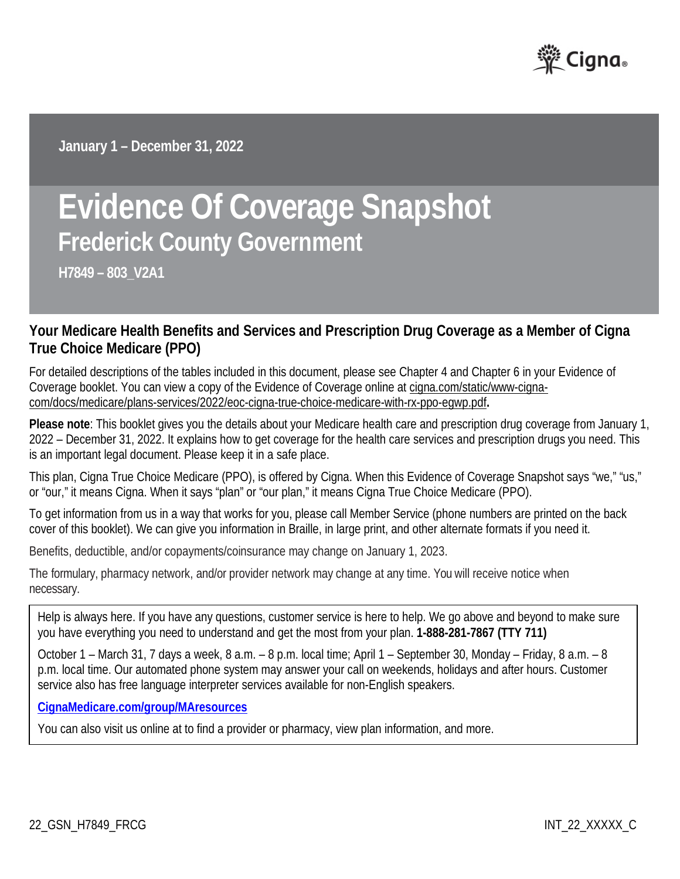

**January 1 – December 31, 2022**

# **Evidence Of Coverage Snapshot Frederick County Government**

**H7849 – 803\_V2A1**

## **Your Medicare Health Benefits and Services and Prescription Drug Coverage as a Member of Cigna True Choice Medicare (PPO)**

For detailed descriptions of the tables included in this document, please see Chapter 4 and Chapter 6 in your Evidence of Coverage booklet. You can view a copy of the Evidence of Coverage online at [cigna.com/static/www-cigna](https://www.cigna.com/static/www-cigna-com/docs/medicare/plans-services/2021/eoc-cigna-true-choice-medicare-with-rx-ppo-egwp.pdf)[com/docs/medicare/plans-services/2022/eoc-cigna-true-choice-medicare-with-rx-ppo-egwp.pdf](https://www.cigna.com/static/www-cigna-com/docs/medicare/plans-services/2021/eoc-cigna-true-choice-medicare-with-rx-ppo-egwp.pdf)**.**

**Please note**: This booklet gives you the details about your Medicare health care and prescription drug coverage from January 1, 2022 – December 31, 2022. It explains how to get coverage for the health care services and prescription drugs you need. This is an important legal document. Please keep it in a safe place.

This plan, Cigna True Choice Medicare (PPO), is offered by Cigna. When this Evidence of Coverage Snapshot says "we," "us," or "our," it means Cigna. When it says "plan" or "our plan," it means Cigna True Choice Medicare (PPO).

To get information from us in a way that works for you, please call Member Service (phone numbers are printed on the back cover of this booklet). We can give you information in Braille, in large print, and other alternate formats if you need it.

Benefits, deductible, and/or copayments/coinsurance may change on January 1, 2023.

The formulary, pharmacy network, and/or provider network may change at any time. You will receive notice when necessary.

Help is always here. If you have any questions, customer service is here to help. We go above and beyond to make sure you have everything you need to understand and get the most from your plan. **1-888-281-7867 (TTY 711)**

October 1 – March 31, 7 days a week, 8 a.m. – 8 p.m. local time; April 1 – September 30, Monday – Friday, 8 a.m. – 8 p.m. local time. Our automated phone system may answer your call on weekends, holidays and after hours. Customer service also has free language interpreter services available for non-English speakers.

**[CignaMedicare.com/group/MAresources](http://www.cignamedicare.com/group/MAresources)**

You can also visit us online at to find a provider or pharmacy, view plan information, and more.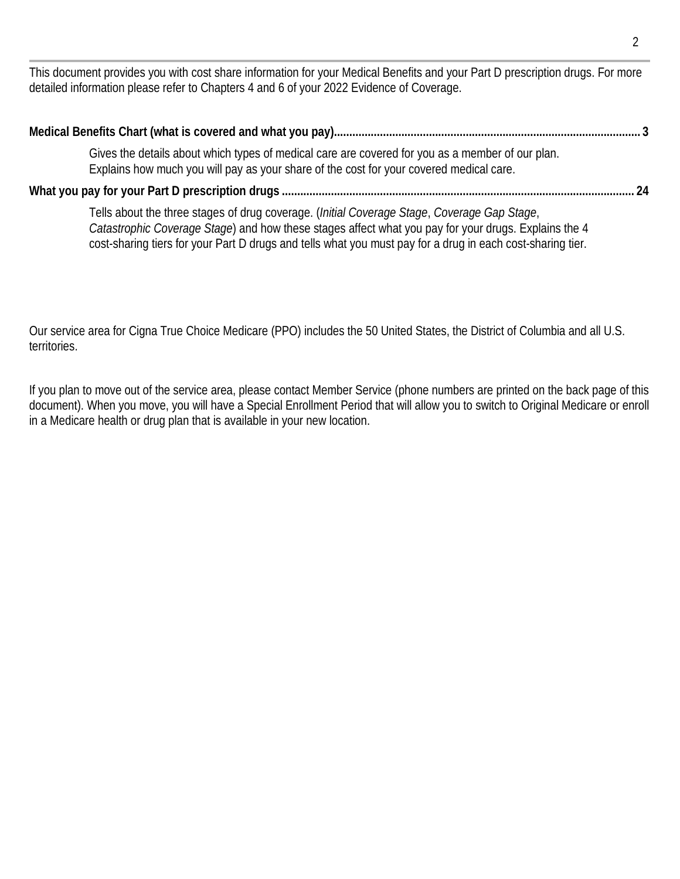This document provides you with cost share information for your Medical Benefits and your Part D prescription drugs. For more detailed information please refer to Chapters 4 and 6 of your 2022 Evidence of Coverage.

| Gives the details about which types of medical care are covered for you as a member of our plan.<br>Explains how much you will pay as your share of the cost for your covered medical care. |  |
|---------------------------------------------------------------------------------------------------------------------------------------------------------------------------------------------|--|
|                                                                                                                                                                                             |  |

Tells about the three stages of drug coverage. (*Initial Coverage Stage*, *Coverage Gap Stage*, *Catastrophic Coverage Stage*) and how these stages affect what you pay for your drugs. Explains the 4 cost-sharing tiers for your Part D drugs and tells what you must pay for a drug in each cost-sharing tier.

Our service area for Cigna True Choice Medicare (PPO) includes the 50 United States, the District of Columbia and all U.S. territories.

If you plan to move out of the service area, please contact Member Service (phone numbers are printed on the back page of this document). When you move, you will have a Special Enrollment Period that will allow you to switch to Original Medicare or enroll in a Medicare health or drug plan that is available in your new location.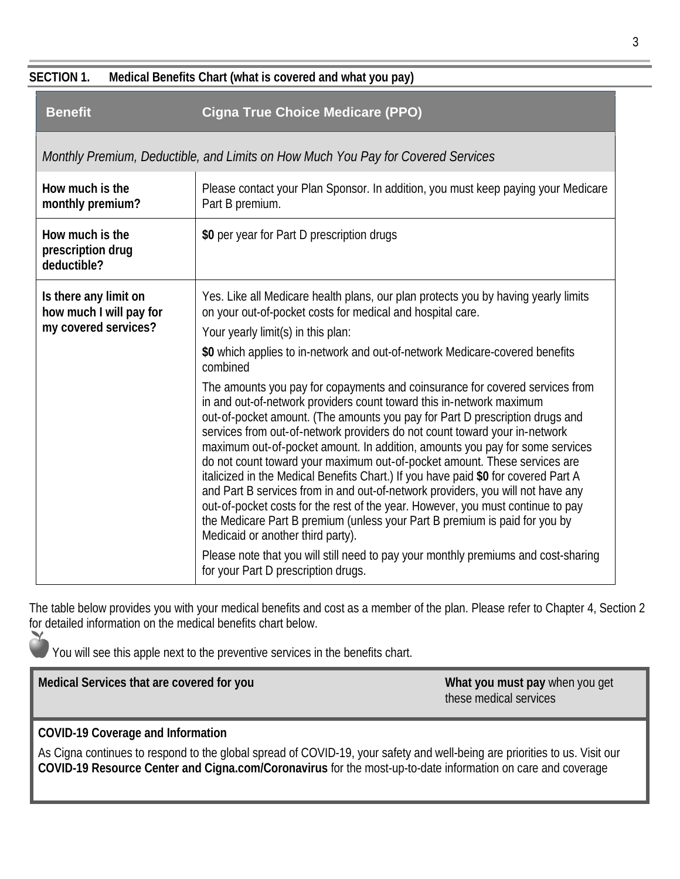#### **SECTION 1. Medical Benefits Chart (what is covered and what you pay)**

| <b>Benefit</b>                                                           | <b>Cigna True Choice Medicare (PPO)</b>                                                                                                                                                                                                                                                                                                                                                                                                                                                                                                                                                                                                                                                                                                                                                                                                                                                                                                                                                                                                                                                                                                                                                                                                                                           |
|--------------------------------------------------------------------------|-----------------------------------------------------------------------------------------------------------------------------------------------------------------------------------------------------------------------------------------------------------------------------------------------------------------------------------------------------------------------------------------------------------------------------------------------------------------------------------------------------------------------------------------------------------------------------------------------------------------------------------------------------------------------------------------------------------------------------------------------------------------------------------------------------------------------------------------------------------------------------------------------------------------------------------------------------------------------------------------------------------------------------------------------------------------------------------------------------------------------------------------------------------------------------------------------------------------------------------------------------------------------------------|
|                                                                          | Monthly Premium, Deductible, and Limits on How Much You Pay for Covered Services                                                                                                                                                                                                                                                                                                                                                                                                                                                                                                                                                                                                                                                                                                                                                                                                                                                                                                                                                                                                                                                                                                                                                                                                  |
| How much is the<br>monthly premium?                                      | Please contact your Plan Sponsor. In addition, you must keep paying your Medicare<br>Part B premium.                                                                                                                                                                                                                                                                                                                                                                                                                                                                                                                                                                                                                                                                                                                                                                                                                                                                                                                                                                                                                                                                                                                                                                              |
| How much is the<br>prescription drug<br>deductible?                      | \$0 per year for Part D prescription drugs                                                                                                                                                                                                                                                                                                                                                                                                                                                                                                                                                                                                                                                                                                                                                                                                                                                                                                                                                                                                                                                                                                                                                                                                                                        |
| Is there any limit on<br>how much I will pay for<br>my covered services? | Yes. Like all Medicare health plans, our plan protects you by having yearly limits<br>on your out-of-pocket costs for medical and hospital care.<br>Your yearly limit(s) in this plan:<br>\$0 which applies to in-network and out-of-network Medicare-covered benefits<br>combined<br>The amounts you pay for copayments and coinsurance for covered services from<br>in and out-of-network providers count toward this in-network maximum<br>out-of-pocket amount. (The amounts you pay for Part D prescription drugs and<br>services from out-of-network providers do not count toward your in-network<br>maximum out-of-pocket amount. In addition, amounts you pay for some services<br>do not count toward your maximum out-of-pocket amount. These services are<br>italicized in the Medical Benefits Chart.) If you have paid \$0 for covered Part A<br>and Part B services from in and out-of-network providers, you will not have any<br>out-of-pocket costs for the rest of the year. However, you must continue to pay<br>the Medicare Part B premium (unless your Part B premium is paid for you by<br>Medicaid or another third party).<br>Please note that you will still need to pay your monthly premiums and cost-sharing<br>for your Part D prescription drugs. |

The table below provides you with your medical benefits and cost as a member of the plan. Please refer to Chapter 4, Section 2 for detailed information on the medical benefits chart below.

You will see this apple next to the preventive services in the benefits chart.

**Medical Services that are covered for you What you must pay when you get What you must pay when you get** 

these medical services

## **COVID-19 Coverage and Information**

As Cigna continues to respond to the global spread of COVID-19, your safety and well-being are priorities to us. Visit our **COVID-19 Resource Center and Cigna.com/Coronavirus** for the most-up-to-date information on care and coverage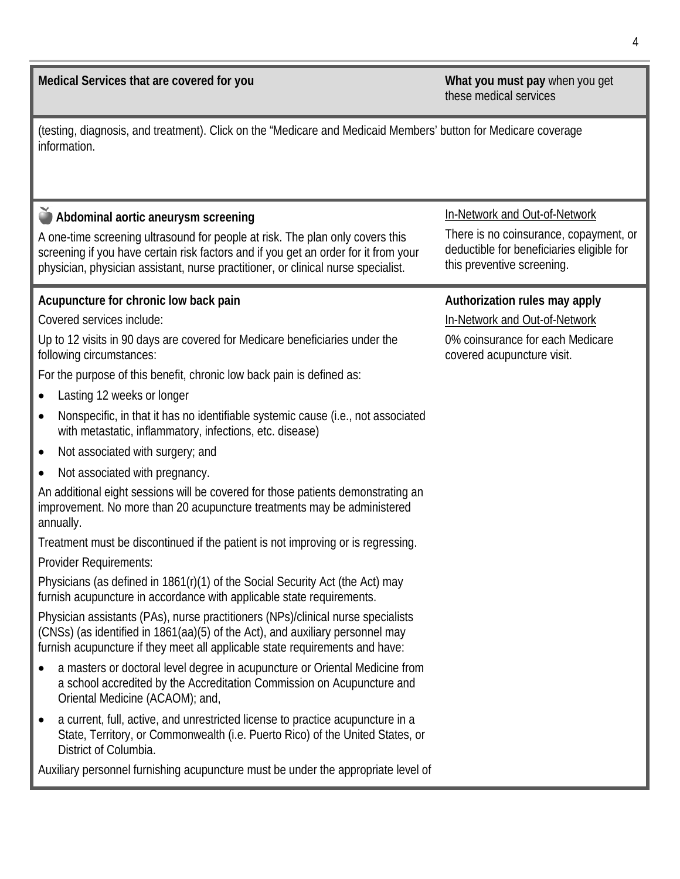**Medical Services that are covered for you What you must pay** when you get

these medical services

(testing, diagnosis, and treatment). Click on the "Medicare and Medicaid Members' button for Medicare coverage information.

**Abdominal aortic aneurysm screening** 

A one-time screening ultrasound for people at risk. The plan only covers this screening if you have certain risk factors and if you get an order for it from your physician, physician assistant, nurse practitioner, or clinical nurse specialist.

#### **Acupuncture for chronic low back pain**

Covered services include:

Up to 12 visits in 90 days are covered for Medicare beneficiaries under the following circumstances:

For the purpose of this benefit, chronic low back pain is defined as:

- Lasting 12 weeks or longer
- Nonspecific, in that it has no identifiable systemic cause (i.e., not associated with metastatic, inflammatory, infections, etc. disease)
- Not associated with surgery; and
- Not associated with pregnancy.

An additional eight sessions will be covered for those patients demonstrating an improvement. No more than 20 acupuncture treatments may be administered annually.

Treatment must be discontinued if the patient is not improving or is regressing.

Provider Requirements:

Physicians (as defined in 1861(r)(1) of the Social Security Act (the Act) may furnish acupuncture in accordance with applicable state requirements.

Physician assistants (PAs), nurse practitioners (NPs)/clinical nurse specialists (CNSs) (as identified in 1861(aa)(5) of the Act), and auxiliary personnel may furnish acupuncture if they meet all applicable state requirements and have:

- a masters or doctoral level degree in acupuncture or Oriental Medicine from a school accredited by the Accreditation Commission on Acupuncture and Oriental Medicine (ACAOM); and,
- a current, full, active, and unrestricted license to practice acupuncture in a State, Territory, or Commonwealth (i.e. Puerto Rico) of the United States, or District of Columbia.

Auxiliary personnel furnishing acupuncture must be under the appropriate level of

#### In-Network and Out-of-Network

There is no coinsurance, copayment, or deductible for beneficiaries eligible for this preventive screening.

#### **Authorization rules may apply**

In-Network and Out-of-Network

0% coinsurance for each Medicare covered acupuncture visit.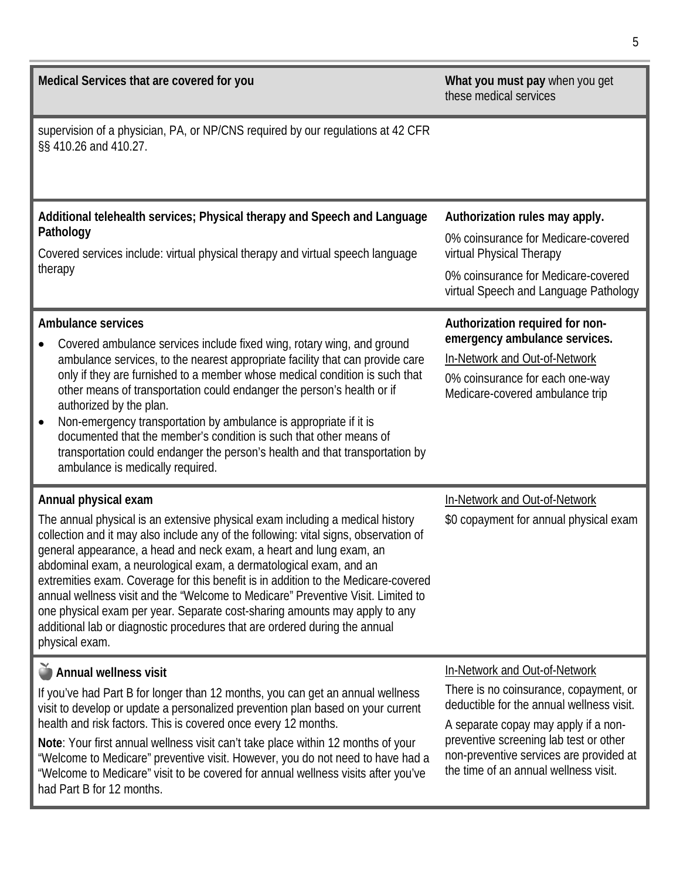| Medical Services that are covered for you                                                                                                                                                                                                                                                                                                                                                                                                                                                                                                                                                                                                                                                          | What you must pay when you get<br>these medical services                                                                                                                                                                                                                                   |
|----------------------------------------------------------------------------------------------------------------------------------------------------------------------------------------------------------------------------------------------------------------------------------------------------------------------------------------------------------------------------------------------------------------------------------------------------------------------------------------------------------------------------------------------------------------------------------------------------------------------------------------------------------------------------------------------------|--------------------------------------------------------------------------------------------------------------------------------------------------------------------------------------------------------------------------------------------------------------------------------------------|
| supervision of a physician, PA, or NP/CNS required by our regulations at 42 CFR<br>§§ 410.26 and 410.27.                                                                                                                                                                                                                                                                                                                                                                                                                                                                                                                                                                                           |                                                                                                                                                                                                                                                                                            |
| Additional telehealth services; Physical therapy and Speech and Language<br>Pathology<br>Covered services include: virtual physical therapy and virtual speech language<br>therapy                                                                                                                                                                                                                                                                                                                                                                                                                                                                                                                 | Authorization rules may apply.<br>0% coinsurance for Medicare-covered<br>virtual Physical Therapy<br>0% coinsurance for Medicare-covered<br>virtual Speech and Language Pathology                                                                                                          |
| <b>Ambulance services</b><br>Covered ambulance services include fixed wing, rotary wing, and ground<br>ambulance services, to the nearest appropriate facility that can provide care<br>only if they are furnished to a member whose medical condition is such that<br>other means of transportation could endanger the person's health or if<br>authorized by the plan.<br>Non-emergency transportation by ambulance is appropriate if it is<br>documented that the member's condition is such that other means of<br>transportation could endanger the person's health and that transportation by<br>ambulance is medically required.                                                            | Authorization required for non-<br>emergency ambulance services.<br>In-Network and Out-of-Network<br>0% coinsurance for each one-way<br>Medicare-covered ambulance trip                                                                                                                    |
| Annual physical exam<br>The annual physical is an extensive physical exam including a medical history<br>collection and it may also include any of the following: vital signs, observation of<br>general appearance, a head and neck exam, a heart and lung exam, an<br>abdominal exam, a neurological exam, a dermatological exam, and an<br>extremities exam. Coverage for this benefit is in addition to the Medicare-covered<br>annual wellness visit and the "Welcome to Medicare" Preventive Visit. Limited to<br>one physical exam per year. Separate cost-sharing amounts may apply to any<br>additional lab or diagnostic procedures that are ordered during the annual<br>physical exam. | In-Network and Out-of-Network<br>\$0 copayment for annual physical exam                                                                                                                                                                                                                    |
| Annual wellness visit<br>If you've had Part B for longer than 12 months, you can get an annual wellness<br>visit to develop or update a personalized prevention plan based on your current<br>health and risk factors. This is covered once every 12 months.<br>Note: Your first annual wellness visit can't take place within 12 months of your<br>"Welcome to Medicare" preventive visit. However, you do not need to have had a<br>"Welcome to Medicare" visit to be covered for annual wellness visits after you've<br>had Part B for 12 months.                                                                                                                                               | In-Network and Out-of-Network<br>There is no coinsurance, copayment, or<br>deductible for the annual wellness visit.<br>A separate copay may apply if a non-<br>preventive screening lab test or other<br>non-preventive services are provided at<br>the time of an annual wellness visit. |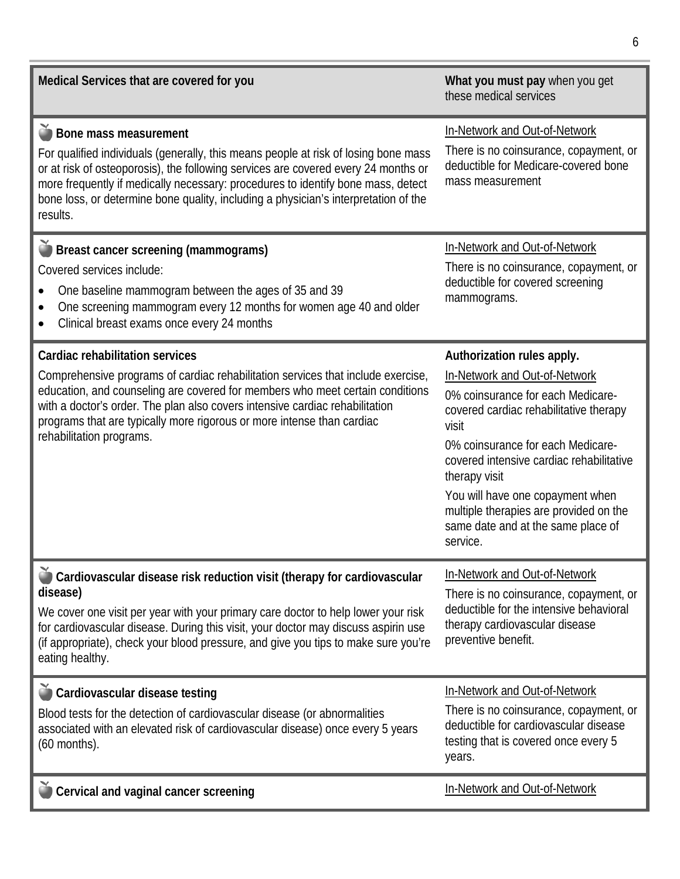| Medical Services that are covered for you                                                                                                                                                                                                                                                                                                                                                  | What you must pay when you get<br>these medical services                                                                                                                                                                                                                                                                                                                              |
|--------------------------------------------------------------------------------------------------------------------------------------------------------------------------------------------------------------------------------------------------------------------------------------------------------------------------------------------------------------------------------------------|---------------------------------------------------------------------------------------------------------------------------------------------------------------------------------------------------------------------------------------------------------------------------------------------------------------------------------------------------------------------------------------|
| Bone mass measurement<br>For qualified individuals (generally, this means people at risk of losing bone mass<br>or at risk of osteoporosis), the following services are covered every 24 months or<br>more frequently if medically necessary: procedures to identify bone mass, detect<br>bone loss, or determine bone quality, including a physician's interpretation of the<br>results.  | In-Network and Out-of-Network<br>There is no coinsurance, copayment, or<br>deductible for Medicare-covered bone<br>mass measurement                                                                                                                                                                                                                                                   |
| Breast cancer screening (mammograms)<br>Covered services include:<br>One baseline mammogram between the ages of 35 and 39<br>One screening mammogram every 12 months for women age 40 and older<br>Clinical breast exams once every 24 months                                                                                                                                              | In-Network and Out-of-Network<br>There is no coinsurance, copayment, or<br>deductible for covered screening<br>mammograms.                                                                                                                                                                                                                                                            |
| Cardiac rehabilitation services<br>Comprehensive programs of cardiac rehabilitation services that include exercise,<br>education, and counseling are covered for members who meet certain conditions<br>with a doctor's order. The plan also covers intensive cardiac rehabilitation<br>programs that are typically more rigorous or more intense than cardiac<br>rehabilitation programs. | Authorization rules apply.<br>In-Network and Out-of-Network<br>0% coinsurance for each Medicare-<br>covered cardiac rehabilitative therapy<br>visit<br>0% coinsurance for each Medicare-<br>covered intensive cardiac rehabilitative<br>therapy visit<br>You will have one copayment when<br>multiple therapies are provided on the<br>same date and at the same place of<br>service. |
| Cardiovascular disease risk reduction visit (therapy for cardiovascular<br>disease)<br>We cover one visit per year with your primary care doctor to help lower your risk<br>for cardiovascular disease. During this visit, your doctor may discuss aspirin use<br>(if appropriate), check your blood pressure, and give you tips to make sure you're<br>eating healthy.                    | In-Network and Out-of-Network<br>There is no coinsurance, copayment, or<br>deductible for the intensive behavioral<br>therapy cardiovascular disease<br>preventive benefit.                                                                                                                                                                                                           |
| Cardiovascular disease testing<br>Blood tests for the detection of cardiovascular disease (or abnormalities<br>associated with an elevated risk of cardiovascular disease) once every 5 years<br>$(60$ months).                                                                                                                                                                            | In-Network and Out-of-Network<br>There is no coinsurance, copayment, or<br>deductible for cardiovascular disease<br>testing that is covered once every 5<br>years.                                                                                                                                                                                                                    |
| Cervical and vaginal cancer screening                                                                                                                                                                                                                                                                                                                                                      | In-Network and Out-of-Network                                                                                                                                                                                                                                                                                                                                                         |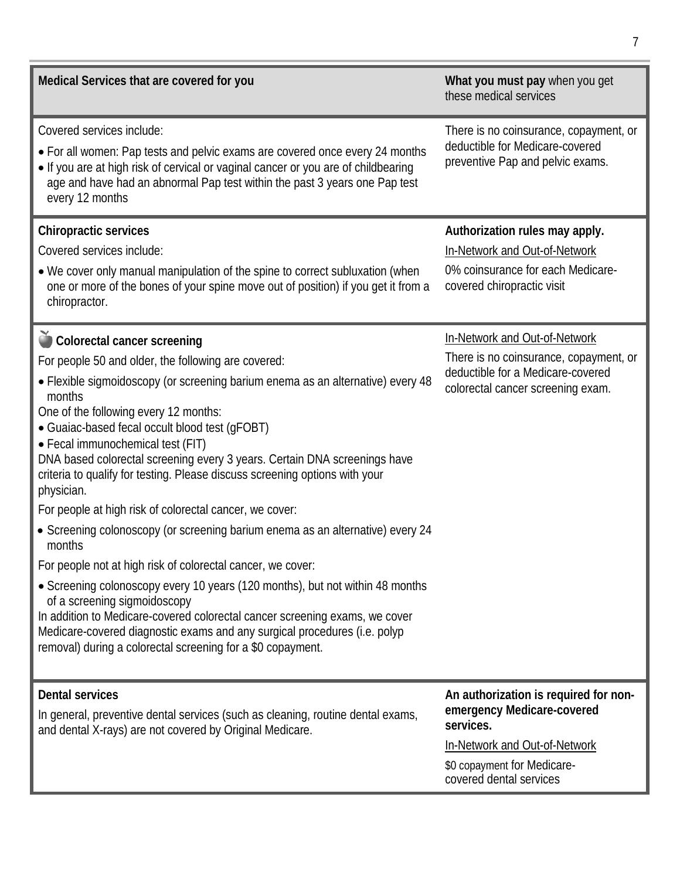| Medical Services that are covered for you                                                                                                                                                                                                                                                                                                                                                                                                                                                                                                                                                                                                                                                                                                                                                                                                                                                                                                                                                                                                                   | What you must pay when you get<br>these medical services                                                                                                                    |
|-------------------------------------------------------------------------------------------------------------------------------------------------------------------------------------------------------------------------------------------------------------------------------------------------------------------------------------------------------------------------------------------------------------------------------------------------------------------------------------------------------------------------------------------------------------------------------------------------------------------------------------------------------------------------------------------------------------------------------------------------------------------------------------------------------------------------------------------------------------------------------------------------------------------------------------------------------------------------------------------------------------------------------------------------------------|-----------------------------------------------------------------------------------------------------------------------------------------------------------------------------|
| Covered services include:<br>• For all women: Pap tests and pelvic exams are covered once every 24 months<br>• If you are at high risk of cervical or vaginal cancer or you are of childbearing<br>age and have had an abnormal Pap test within the past 3 years one Pap test<br>every 12 months                                                                                                                                                                                                                                                                                                                                                                                                                                                                                                                                                                                                                                                                                                                                                            | There is no coinsurance, copayment, or<br>deductible for Medicare-covered<br>preventive Pap and pelvic exams.                                                               |
| <b>Chiropractic services</b><br>Covered services include:<br>• We cover only manual manipulation of the spine to correct subluxation (when<br>one or more of the bones of your spine move out of position) if you get it from a<br>chiropractor.                                                                                                                                                                                                                                                                                                                                                                                                                                                                                                                                                                                                                                                                                                                                                                                                            | Authorization rules may apply.<br>In-Network and Out-of-Network<br>0% coinsurance for each Medicare-<br>covered chiropractic visit                                          |
| Colorectal cancer screening<br>For people 50 and older, the following are covered:<br>· Flexible sigmoidoscopy (or screening barium enema as an alternative) every 48<br>months<br>One of the following every 12 months:<br>• Guaiac-based fecal occult blood test (gFOBT)<br>• Fecal immunochemical test (FIT)<br>DNA based colorectal screening every 3 years. Certain DNA screenings have<br>criteria to qualify for testing. Please discuss screening options with your<br>physician.<br>For people at high risk of colorectal cancer, we cover:<br>• Screening colonoscopy (or screening barium enema as an alternative) every 24<br>months<br>For people not at high risk of colorectal cancer, we cover:<br>• Screening colonoscopy every 10 years (120 months), but not within 48 months<br>of a screening sigmoidoscopy<br>In addition to Medicare-covered colorectal cancer screening exams, we cover<br>Medicare-covered diagnostic exams and any surgical procedures (i.e. polyp<br>removal) during a colorectal screening for a \$0 copayment. | In-Network and Out-of-Network<br>There is no coinsurance, copayment, or<br>deductible for a Medicare-covered<br>colorectal cancer screening exam.                           |
| <b>Dental services</b><br>In general, preventive dental services (such as cleaning, routine dental exams,<br>and dental X-rays) are not covered by Original Medicare.                                                                                                                                                                                                                                                                                                                                                                                                                                                                                                                                                                                                                                                                                                                                                                                                                                                                                       | An authorization is required for non-<br>emergency Medicare-covered<br>services.<br>In-Network and Out-of-Network<br>\$0 copayment for Medicare-<br>covered dental services |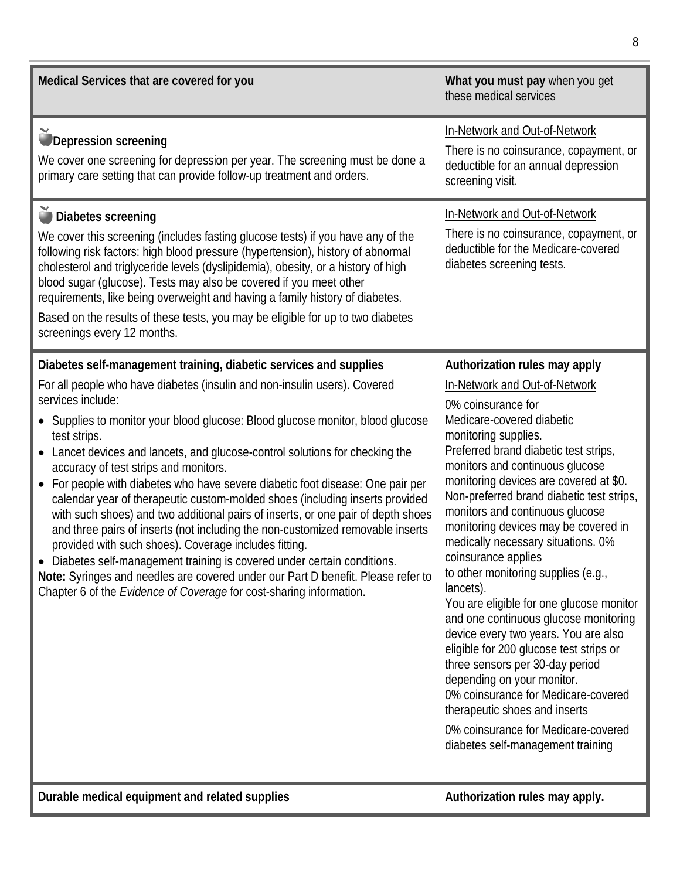| Medical Services that are covered for you                                                                                                                                                                                                                                                                                                                                                                                                                                                                                                                                                                                                                                                                                                                                                                                                                                                                                                                                                                                                                             | What you must pay when you get<br>these medical services                                                                                                                                                                                                                                                                                                                                                                                                                                                                                                                                                                                                                                                                                                                                                                                                                                              |
|-----------------------------------------------------------------------------------------------------------------------------------------------------------------------------------------------------------------------------------------------------------------------------------------------------------------------------------------------------------------------------------------------------------------------------------------------------------------------------------------------------------------------------------------------------------------------------------------------------------------------------------------------------------------------------------------------------------------------------------------------------------------------------------------------------------------------------------------------------------------------------------------------------------------------------------------------------------------------------------------------------------------------------------------------------------------------|-------------------------------------------------------------------------------------------------------------------------------------------------------------------------------------------------------------------------------------------------------------------------------------------------------------------------------------------------------------------------------------------------------------------------------------------------------------------------------------------------------------------------------------------------------------------------------------------------------------------------------------------------------------------------------------------------------------------------------------------------------------------------------------------------------------------------------------------------------------------------------------------------------|
| <b>Depression screening</b><br>We cover one screening for depression per year. The screening must be done a<br>primary care setting that can provide follow-up treatment and orders.                                                                                                                                                                                                                                                                                                                                                                                                                                                                                                                                                                                                                                                                                                                                                                                                                                                                                  | In-Network and Out-of-Network<br>There is no coinsurance, copayment, or<br>deductible for an annual depression<br>screening visit.                                                                                                                                                                                                                                                                                                                                                                                                                                                                                                                                                                                                                                                                                                                                                                    |
| ighthere in Diabetes screening<br>We cover this screening (includes fasting glucose tests) if you have any of the<br>following risk factors: high blood pressure (hypertension), history of abnormal<br>cholesterol and triglyceride levels (dyslipidemia), obesity, or a history of high<br>blood sugar (glucose). Tests may also be covered if you meet other<br>requirements, like being overweight and having a family history of diabetes.<br>Based on the results of these tests, you may be eligible for up to two diabetes<br>screenings every 12 months.                                                                                                                                                                                                                                                                                                                                                                                                                                                                                                     | In-Network and Out-of-Network<br>There is no coinsurance, copayment, or<br>deductible for the Medicare-covered<br>diabetes screening tests.                                                                                                                                                                                                                                                                                                                                                                                                                                                                                                                                                                                                                                                                                                                                                           |
| Diabetes self-management training, diabetic services and supplies<br>For all people who have diabetes (insulin and non-insulin users). Covered<br>services include:<br>Supplies to monitor your blood glucose: Blood glucose monitor, blood glucose<br>$\bullet$<br>test strips.<br>Lancet devices and lancets, and glucose-control solutions for checking the<br>$\bullet$<br>accuracy of test strips and monitors.<br>For people with diabetes who have severe diabetic foot disease: One pair per<br>$\bullet$<br>calendar year of therapeutic custom-molded shoes (including inserts provided<br>with such shoes) and two additional pairs of inserts, or one pair of depth shoes<br>and three pairs of inserts (not including the non-customized removable inserts<br>provided with such shoes). Coverage includes fitting.<br>Diabetes self-management training is covered under certain conditions.<br>Note: Syringes and needles are covered under our Part D benefit. Please refer to<br>Chapter 6 of the Evidence of Coverage for cost-sharing information. | Authorization rules may apply<br>In-Network and Out-of-Network<br>0% coinsurance for<br>Medicare-covered diabetic<br>monitoring supplies.<br>Preferred brand diabetic test strips,<br>monitors and continuous glucose<br>monitoring devices are covered at \$0.<br>Non-preferred brand diabetic test strips,<br>monitors and continuous glucose<br>monitoring devices may be covered in<br>medically necessary situations. 0%<br>coinsurance applies<br>to other monitoring supplies (e.g.,<br>lancets).<br>You are eligible for one glucose monitor<br>and one continuous glucose monitoring<br>device every two years. You are also<br>eligible for 200 glucose test strips or<br>three sensors per 30-day period<br>depending on your monitor.<br>0% coinsurance for Medicare-covered<br>therapeutic shoes and inserts<br>0% coinsurance for Medicare-covered<br>diabetes self-management training |
|                                                                                                                                                                                                                                                                                                                                                                                                                                                                                                                                                                                                                                                                                                                                                                                                                                                                                                                                                                                                                                                                       |                                                                                                                                                                                                                                                                                                                                                                                                                                                                                                                                                                                                                                                                                                                                                                                                                                                                                                       |

**Durable medical equipment and related supplies Authorization rules may apply.**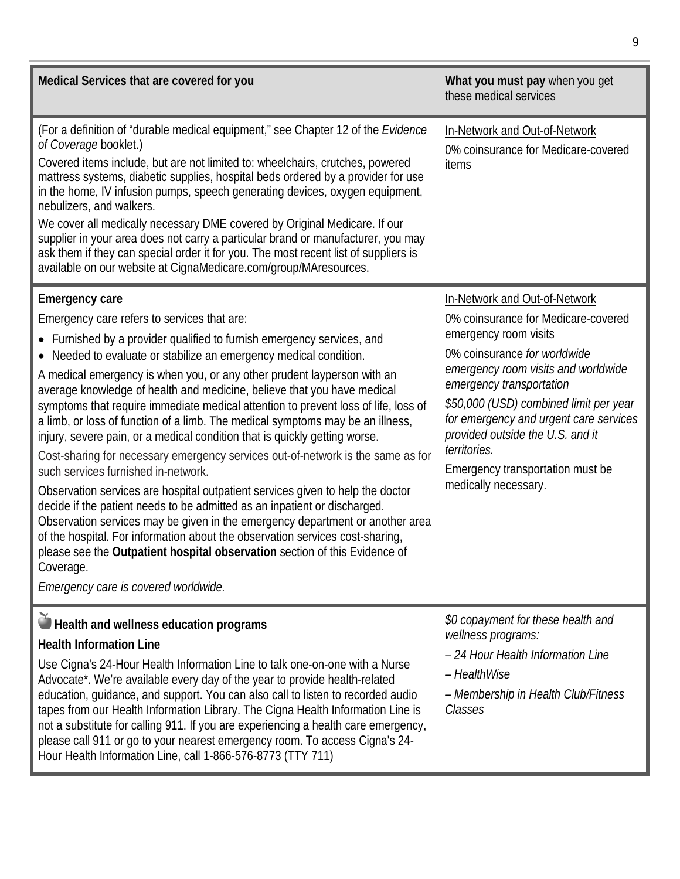| Medical Services that are covered for you                                                                                                                                                                                                                                                                                                                                                                                                                                                                                                                                                                                                                                                                                                                                                                                                                                                                                                                                                                                                                                                                                                                                                                                     | What you must pay when you get<br>these medical services                                                                                                                                                                                                                                                                                                                                             |
|-------------------------------------------------------------------------------------------------------------------------------------------------------------------------------------------------------------------------------------------------------------------------------------------------------------------------------------------------------------------------------------------------------------------------------------------------------------------------------------------------------------------------------------------------------------------------------------------------------------------------------------------------------------------------------------------------------------------------------------------------------------------------------------------------------------------------------------------------------------------------------------------------------------------------------------------------------------------------------------------------------------------------------------------------------------------------------------------------------------------------------------------------------------------------------------------------------------------------------|------------------------------------------------------------------------------------------------------------------------------------------------------------------------------------------------------------------------------------------------------------------------------------------------------------------------------------------------------------------------------------------------------|
| (For a definition of "durable medical equipment," see Chapter 12 of the Evidence<br>of Coverage booklet.)<br>Covered items include, but are not limited to: wheelchairs, crutches, powered<br>mattress systems, diabetic supplies, hospital beds ordered by a provider for use<br>in the home, IV infusion pumps, speech generating devices, oxygen equipment,<br>nebulizers, and walkers.<br>We cover all medically necessary DME covered by Original Medicare. If our<br>supplier in your area does not carry a particular brand or manufacturer, you may<br>ask them if they can special order it for you. The most recent list of suppliers is<br>available on our website at CignaMedicare.com/group/MAresources.                                                                                                                                                                                                                                                                                                                                                                                                                                                                                                        | In-Network and Out-of-Network<br>0% coinsurance for Medicare-covered<br>items                                                                                                                                                                                                                                                                                                                        |
| <b>Emergency care</b><br>Emergency care refers to services that are:<br>• Furnished by a provider qualified to furnish emergency services, and<br>• Needed to evaluate or stabilize an emergency medical condition.<br>A medical emergency is when you, or any other prudent layperson with an<br>average knowledge of health and medicine, believe that you have medical<br>symptoms that require immediate medical attention to prevent loss of life, loss of<br>a limb, or loss of function of a limb. The medical symptoms may be an illness,<br>injury, severe pain, or a medical condition that is quickly getting worse.<br>Cost-sharing for necessary emergency services out-of-network is the same as for<br>such services furnished in-network.<br>Observation services are hospital outpatient services given to help the doctor<br>decide if the patient needs to be admitted as an inpatient or discharged.<br>Observation services may be given in the emergency department or another area<br>of the hospital. For information about the observation services cost-sharing,<br>please see the Outpatient hospital observation section of this Evidence of<br>Coverage.<br>Emergency care is covered worldwide. | In-Network and Out-of-Network<br>0% coinsurance for Medicare-covered<br>emergency room visits<br>0% coinsurance for worldwide<br>emergency room visits and worldwide<br>emergency transportation<br>\$50,000 (USD) combined limit per year<br>for emergency and urgent care services<br>provided outside the U.S. and it<br>territories.<br>Emergency transportation must be<br>medically necessary. |
| Health and wellness education programs<br><b>Health Information Line</b><br>Use Cigna's 24-Hour Health Information Line to talk one-on-one with a Nurse<br>Advocate*. We're available every day of the year to provide health-related<br>education, quidance, and support. You can also call to listen to recorded audio<br>tapes from our Health Information Library. The Cigna Health Information Line is<br>not a substitute for calling 911. If you are experiencing a health care emergency,<br>please call 911 or go to your nearest emergency room. To access Cigna's 24-<br>Hour Health Information Line, call 1-866-576-8773 (TTY 711)                                                                                                                                                                                                                                                                                                                                                                                                                                                                                                                                                                               | \$0 copayment for these health and<br>wellness programs:<br>- 24 Hour Health Information Line<br>- HealthWise<br>- Membership in Health Club/Fitness<br>Classes                                                                                                                                                                                                                                      |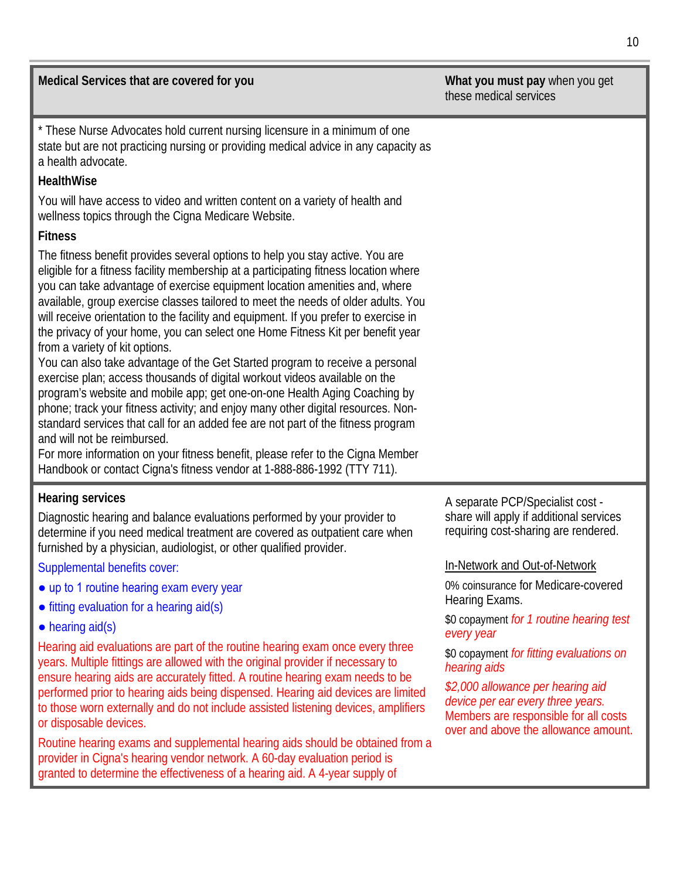| Medical Services that are covered for you                                                                                                                                                                                                                                                                                                                                                                                                                                                                                                                                                                                                                                                                                                                                                                                                                                                                                                                                                                                                                                                                                                                           | What you must pay when you get<br>these medical services                                                            |
|---------------------------------------------------------------------------------------------------------------------------------------------------------------------------------------------------------------------------------------------------------------------------------------------------------------------------------------------------------------------------------------------------------------------------------------------------------------------------------------------------------------------------------------------------------------------------------------------------------------------------------------------------------------------------------------------------------------------------------------------------------------------------------------------------------------------------------------------------------------------------------------------------------------------------------------------------------------------------------------------------------------------------------------------------------------------------------------------------------------------------------------------------------------------|---------------------------------------------------------------------------------------------------------------------|
| * These Nurse Advocates hold current nursing licensure in a minimum of one<br>state but are not practicing nursing or providing medical advice in any capacity as<br>a health advocate.                                                                                                                                                                                                                                                                                                                                                                                                                                                                                                                                                                                                                                                                                                                                                                                                                                                                                                                                                                             |                                                                                                                     |
| HealthWise                                                                                                                                                                                                                                                                                                                                                                                                                                                                                                                                                                                                                                                                                                                                                                                                                                                                                                                                                                                                                                                                                                                                                          |                                                                                                                     |
| You will have access to video and written content on a variety of health and<br>wellness topics through the Cigna Medicare Website.                                                                                                                                                                                                                                                                                                                                                                                                                                                                                                                                                                                                                                                                                                                                                                                                                                                                                                                                                                                                                                 |                                                                                                                     |
| <b>Fitness</b>                                                                                                                                                                                                                                                                                                                                                                                                                                                                                                                                                                                                                                                                                                                                                                                                                                                                                                                                                                                                                                                                                                                                                      |                                                                                                                     |
| The fitness benefit provides several options to help you stay active. You are<br>eligible for a fitness facility membership at a participating fitness location where<br>you can take advantage of exercise equipment location amenities and, where<br>available, group exercise classes tailored to meet the needs of older adults. You<br>will receive orientation to the facility and equipment. If you prefer to exercise in<br>the privacy of your home, you can select one Home Fitness Kit per benefit year<br>from a variety of kit options.<br>You can also take advantage of the Get Started program to receive a personal<br>exercise plan; access thousands of digital workout videos available on the<br>program's website and mobile app; get one-on-one Health Aging Coaching by<br>phone; track your fitness activity; and enjoy many other digital resources. Non-<br>standard services that call for an added fee are not part of the fitness program<br>and will not be reimbursed.<br>For more information on your fitness benefit, please refer to the Cigna Member<br>Handbook or contact Cigna's fitness vendor at 1-888-886-1992 (TTY 711). |                                                                                                                     |
| <b>Hearing services</b><br>Diagnostic hearing and balance evaluations performed by your provider to<br>determine if you need medical treatment are covered as outpatient care when<br>furnished by a physician, audiologist, or other qualified provider.                                                                                                                                                                                                                                                                                                                                                                                                                                                                                                                                                                                                                                                                                                                                                                                                                                                                                                           | A separate PCP/Specialist cost -<br>share will apply if additional services<br>requiring cost-sharing are rendered. |
| Supplemental benefits cover:                                                                                                                                                                                                                                                                                                                                                                                                                                                                                                                                                                                                                                                                                                                                                                                                                                                                                                                                                                                                                                                                                                                                        | In-Network and Out-of-Network                                                                                       |
| • up to 1 routine hearing exam every year                                                                                                                                                                                                                                                                                                                                                                                                                                                                                                                                                                                                                                                                                                                                                                                                                                                                                                                                                                                                                                                                                                                           | 0% coinsurance for Medicare-covered                                                                                 |
| $\bullet$ fitting evaluation for a hearing aid(s)                                                                                                                                                                                                                                                                                                                                                                                                                                                                                                                                                                                                                                                                                                                                                                                                                                                                                                                                                                                                                                                                                                                   | Hearing Exams.                                                                                                      |
| $\bullet$ hearing aid(s)                                                                                                                                                                                                                                                                                                                                                                                                                                                                                                                                                                                                                                                                                                                                                                                                                                                                                                                                                                                                                                                                                                                                            | \$0 copayment for 1 routine hearing test<br>every year                                                              |
| Hearing aid evaluations are part of the routine hearing exam once every three<br>voars, Multiple fittings are allowed with the original provider if pecessary to                                                                                                                                                                                                                                                                                                                                                                                                                                                                                                                                                                                                                                                                                                                                                                                                                                                                                                                                                                                                    | \$0 copayment for fitting evaluations on                                                                            |

years. Multiple fittings are allowed with the original provider if necessary to ensure hearing aids are accurately fitted. A routine hearing exam needs to be performed prior to hearing aids being dispensed. Hearing aid devices are limited to those worn externally and do not include assisted listening devices, amplifiers or disposable devices.

Routine hearing exams and supplemental hearing aids should be obtained from a provider in Cigna's hearing vendor network. A 60-day evaluation period is granted to determine the effectiveness of a hearing aid. A 4-year supply of

*hearing aids \$2,000 allowance per hearing aid device per ear every three years.* Members are responsible for all costs over and above the allowance amount.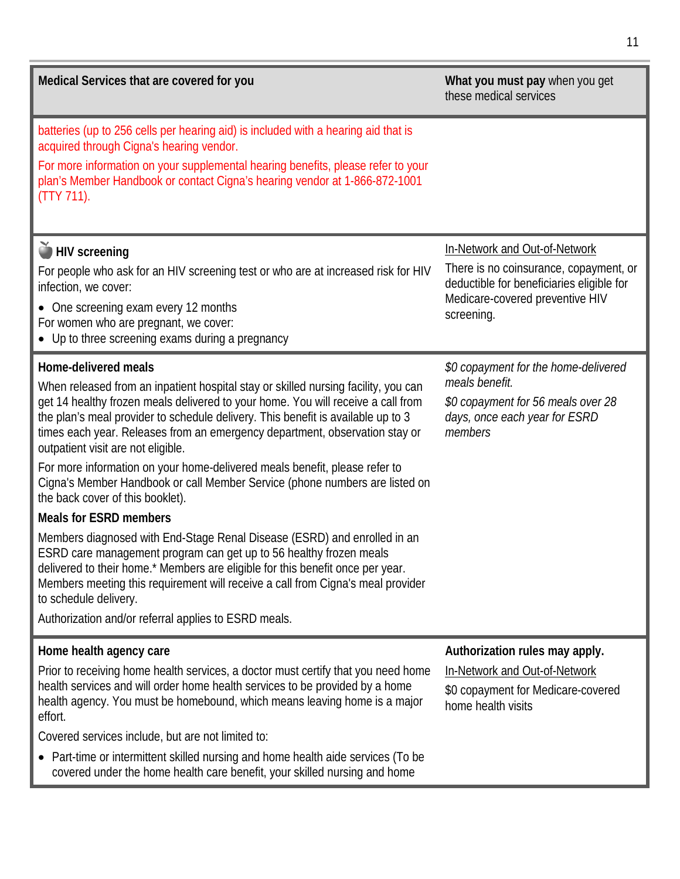| Medical Services that are covered for you                                                                                                                                                                                                                                                                                                                                                                                                                                                                                                                                                                                                                                                                                                                                                                                                                                                                                                                                                                                                                | What you must pay when you get<br>these medical services                                                                                                              |
|----------------------------------------------------------------------------------------------------------------------------------------------------------------------------------------------------------------------------------------------------------------------------------------------------------------------------------------------------------------------------------------------------------------------------------------------------------------------------------------------------------------------------------------------------------------------------------------------------------------------------------------------------------------------------------------------------------------------------------------------------------------------------------------------------------------------------------------------------------------------------------------------------------------------------------------------------------------------------------------------------------------------------------------------------------|-----------------------------------------------------------------------------------------------------------------------------------------------------------------------|
| batteries (up to 256 cells per hearing aid) is included with a hearing aid that is<br>acquired through Cigna's hearing vendor.<br>For more information on your supplemental hearing benefits, please refer to your<br>plan's Member Handbook or contact Cigna's hearing vendor at 1-866-872-1001<br>$(TTY 711)$ .                                                                                                                                                                                                                                                                                                                                                                                                                                                                                                                                                                                                                                                                                                                                        |                                                                                                                                                                       |
| HIV screening<br>For people who ask for an HIV screening test or who are at increased risk for HIV<br>infection, we cover:<br>• One screening exam every 12 months<br>For women who are pregnant, we cover:<br>• Up to three screening exams during a pregnancy                                                                                                                                                                                                                                                                                                                                                                                                                                                                                                                                                                                                                                                                                                                                                                                          | In-Network and Out-of-Network<br>There is no coinsurance, copayment, or<br>deductible for beneficiaries eligible for<br>Medicare-covered preventive HIV<br>screening. |
| <b>Home-delivered meals</b><br>When released from an inpatient hospital stay or skilled nursing facility, you can<br>get 14 healthy frozen meals delivered to your home. You will receive a call from<br>the plan's meal provider to schedule delivery. This benefit is available up to 3<br>times each year. Releases from an emergency department, observation stay or<br>outpatient visit are not eligible.<br>For more information on your home-delivered meals benefit, please refer to<br>Cigna's Member Handbook or call Member Service (phone numbers are listed on<br>the back cover of this booklet).<br><b>Meals for ESRD members</b><br>Members diagnosed with End-Stage Renal Disease (ESRD) and enrolled in an<br>ESRD care management program can get up to 56 healthy frozen meals<br>delivered to their home.* Members are eligible for this benefit once per year.<br>Members meeting this requirement will receive a call from Cigna's meal provider<br>to schedule delivery.<br>Authorization and/or referral applies to ESRD meals. | \$0 copayment for the home-delivered<br>meals benefit.<br>\$0 copayment for 56 meals over 28<br>days, once each year for ESRD<br>members                              |
| Home health agency care<br>Prior to receiving home health services, a doctor must certify that you need home<br>health services and will order home health services to be provided by a home<br>health agency. You must be homebound, which means leaving home is a major<br>effort.<br>Covered services include, but are not limited to:<br>Part-time or intermittent skilled nursing and home health aide services (To be<br>$\bullet$<br>covered under the home health care benefit, your skilled nursing and home                                                                                                                                                                                                                                                                                                                                                                                                                                                                                                                                    | Authorization rules may apply.<br>In-Network and Out-of-Network<br>\$0 copayment for Medicare-covered<br>home health visits                                           |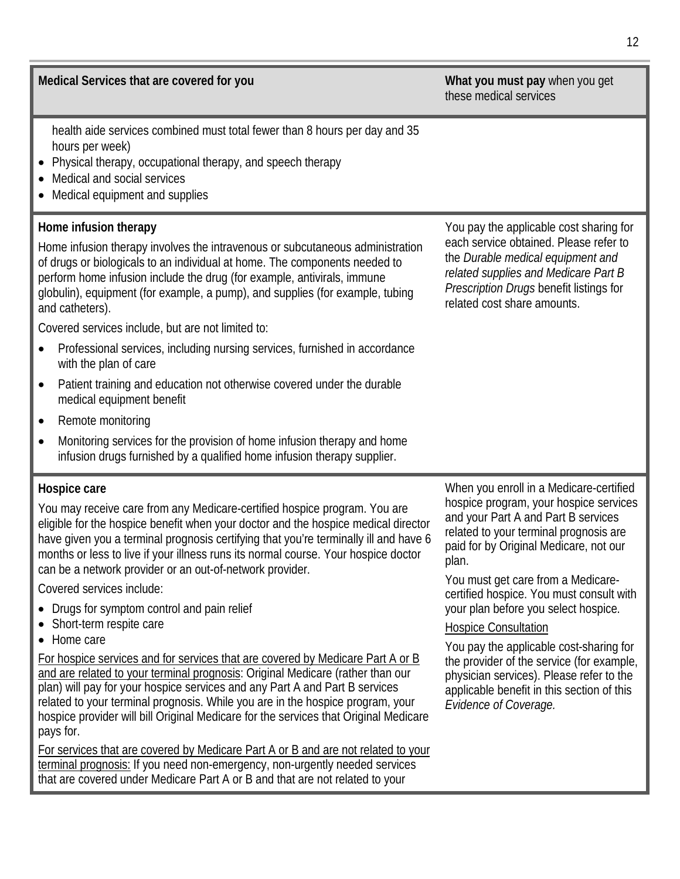**Medical Services that are covered for you What you must pay** when you get

health aide services combined must total fewer than 8 hours per day and 35 hours per week)

- Physical therapy, occupational therapy, and speech therapy
- Medical and social services
- Medical equipment and supplies

#### **Home infusion therapy**

Home infusion therapy involves the intravenous or subcutaneous administration of drugs or biologicals to an individual at home. The components needed to perform home infusion include the drug (for example, antivirals, immune globulin), equipment (for example, a pump), and supplies (for example, tubing and catheters).

Covered services include, but are not limited to:

- Professional services, including nursing services, furnished in accordance with the plan of care
- Patient training and education not otherwise covered under the durable medical equipment benefit
- Remote monitoring
- Monitoring services for the provision of home infusion therapy and home infusion drugs furnished by a qualified home infusion therapy supplier.

#### **Hospice care**

You may receive care from any Medicare-certified hospice program. You are eligible for the hospice benefit when your doctor and the hospice medical director have given you a terminal prognosis certifying that you're terminally ill and have 6 months or less to live if your illness runs its normal course. Your hospice doctor can be a network provider or an out-of-network provider.

Covered services include:

- Drugs for symptom control and pain relief
- Short-term respite care
- Home care

For hospice services and for services that are covered by Medicare Part A or B and are related to your terminal prognosis: Original Medicare (rather than our plan) will pay for your hospice services and any Part A and Part B services related to your terminal prognosis. While you are in the hospice program, your hospice provider will bill Original Medicare for the services that Original Medicare pays for.

For services that are covered by Medicare Part A or B and are not related to your terminal prognosis: If you need non-emergency, non-urgently needed services that are covered under Medicare Part A or B and that are not related to your

When you enroll in a Medicare-certified hospice program, your hospice services and your Part A and Part B services related to your terminal prognosis are paid for by Original Medicare, not our plan.

You must get care from a Medicarecertified hospice. You must consult with your plan before you select hospice.

## Hospice Consultation

You pay the applicable cost-sharing for the provider of the service (for example, physician services). Please refer to the applicable benefit in this section of this *Evidence of Coverage.*

You pay the applicable cost sharing for each service obtained. Please refer to the *Durable medical equipment and related supplies and Medicare Part B Prescription Drugs* benefit listings for

related cost share amounts.

these medical services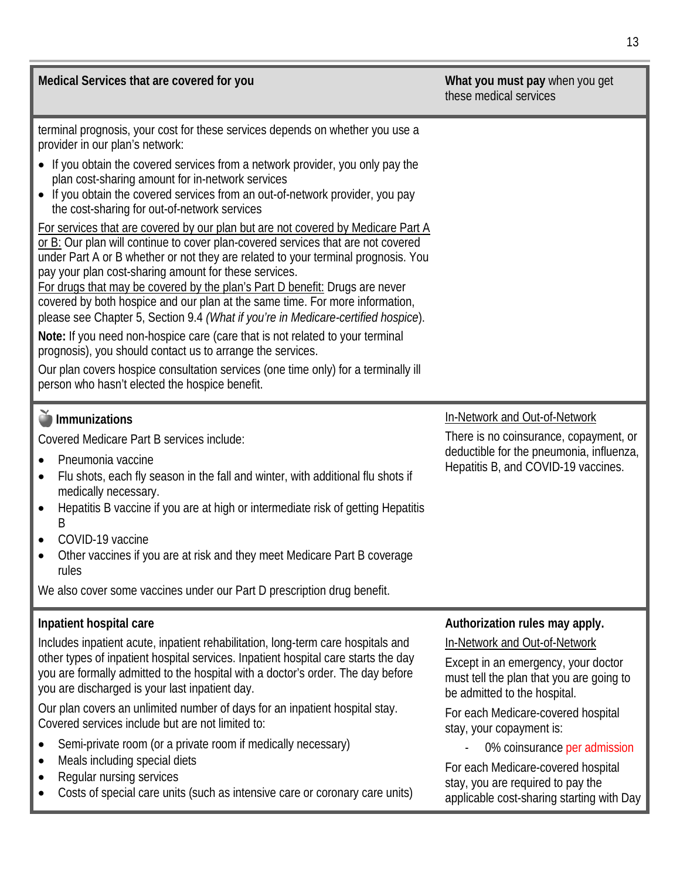| Medical Services that are covered for you                                                                                                                                                                                                                                                                                                                                                                                                                                                                                                                                                                                                                                                                                                                                                                                                                                                                                                                                                                                                                                                                                                                                                                                                                | What you must pay when you get<br>these medical services                                                                                                                                                                                                                                                                                                                                                     |
|----------------------------------------------------------------------------------------------------------------------------------------------------------------------------------------------------------------------------------------------------------------------------------------------------------------------------------------------------------------------------------------------------------------------------------------------------------------------------------------------------------------------------------------------------------------------------------------------------------------------------------------------------------------------------------------------------------------------------------------------------------------------------------------------------------------------------------------------------------------------------------------------------------------------------------------------------------------------------------------------------------------------------------------------------------------------------------------------------------------------------------------------------------------------------------------------------------------------------------------------------------|--------------------------------------------------------------------------------------------------------------------------------------------------------------------------------------------------------------------------------------------------------------------------------------------------------------------------------------------------------------------------------------------------------------|
| terminal prognosis, your cost for these services depends on whether you use a<br>provider in our plan's network:<br>• If you obtain the covered services from a network provider, you only pay the<br>plan cost-sharing amount for in-network services<br>• If you obtain the covered services from an out-of-network provider, you pay<br>the cost-sharing for out-of-network services<br>For services that are covered by our plan but are not covered by Medicare Part A<br>or B: Our plan will continue to cover plan-covered services that are not covered<br>under Part A or B whether or not they are related to your terminal prognosis. You<br>pay your plan cost-sharing amount for these services.<br>For drugs that may be covered by the plan's Part D benefit: Drugs are never<br>covered by both hospice and our plan at the same time. For more information,<br>please see Chapter 5, Section 9.4 (What if you're in Medicare-certified hospice).<br>Note: If you need non-hospice care (care that is not related to your terminal<br>prognosis), you should contact us to arrange the services.<br>Our plan covers hospice consultation services (one time only) for a terminally ill<br>person who hasn't elected the hospice benefit. |                                                                                                                                                                                                                                                                                                                                                                                                              |
| Immunizations<br>Covered Medicare Part B services include:<br>Pneumonia vaccine<br>Flu shots, each fly season in the fall and winter, with additional flu shots if<br>$\bullet$<br>medically necessary.<br>Hepatitis B vaccine if you are at high or intermediate risk of getting Hepatitis<br>$\bullet$<br>B<br>COVID-19 vaccine<br>Other vaccines if you are at risk and they meet Medicare Part B coverage<br>rules<br>We also cover some vaccines under our Part D prescription drug benefit.                                                                                                                                                                                                                                                                                                                                                                                                                                                                                                                                                                                                                                                                                                                                                        | In-Network and Out-of-Network<br>There is no coinsurance, copayment, or<br>deductible for the pneumonia, influenza,<br>Hepatitis B, and COVID-19 vaccines.                                                                                                                                                                                                                                                   |
| Inpatient hospital care<br>Includes inpatient acute, inpatient rehabilitation, long-term care hospitals and<br>other types of inpatient hospital services. Inpatient hospital care starts the day<br>you are formally admitted to the hospital with a doctor's order. The day before<br>you are discharged is your last inpatient day.<br>Our plan covers an unlimited number of days for an inpatient hospital stay.<br>Covered services include but are not limited to:<br>Semi-private room (or a private room if medically necessary)<br>Meals including special diets<br>Regular nursing services<br>Costs of special care units (such as intensive care or coronary care units)                                                                                                                                                                                                                                                                                                                                                                                                                                                                                                                                                                    | Authorization rules may apply.<br>In-Network and Out-of-Network<br>Except in an emergency, your doctor<br>must tell the plan that you are going to<br>be admitted to the hospital.<br>For each Medicare-covered hospital<br>stay, your copayment is:<br>0% coinsurance per admission<br>For each Medicare-covered hospital<br>stay, you are required to pay the<br>applicable cost-sharing starting with Day |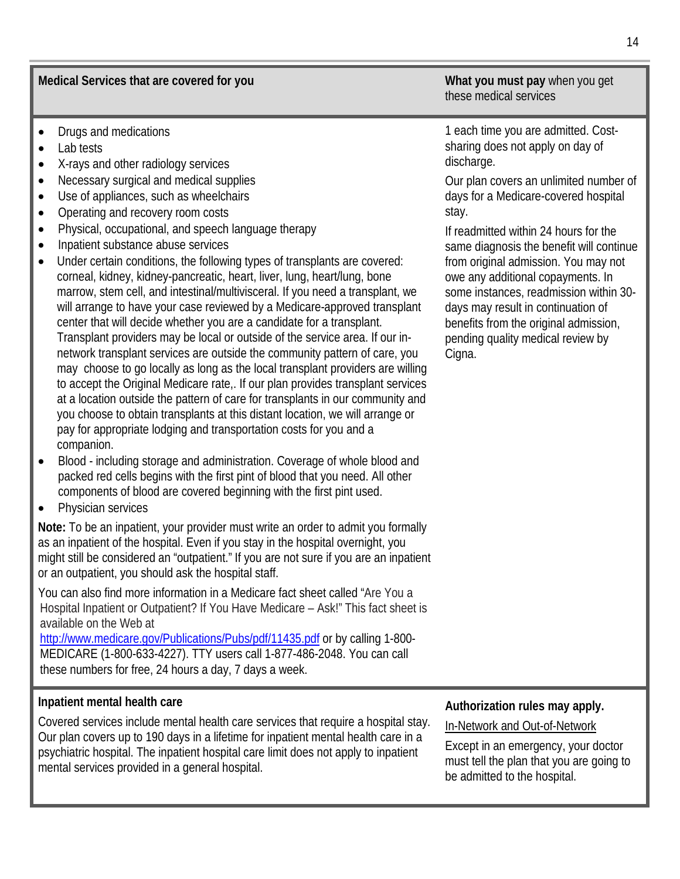**Medical Services that are covered for you What you must pay** when you get

- Drugs and medications
- Lab tests
- X-rays and other radiology services
- Necessary surgical and medical supplies
- Use of appliances, such as wheelchairs
- Operating and recovery room costs
- Physical, occupational, and speech language therapy
- Inpatient substance abuse services
- Under certain conditions, the following types of transplants are covered: corneal, kidney, kidney-pancreatic, heart, liver, lung, heart/lung, bone marrow, stem cell, and intestinal/multivisceral. If you need a transplant, we will arrange to have your case reviewed by a Medicare-approved transplant center that will decide whether you are a candidate for a transplant. Transplant providers may be local or outside of the service area. If our innetwork transplant services are outside the community pattern of care, you may choose to go locally as long as the local transplant providers are willing to accept the Original Medicare rate,. If our plan provides transplant services at a location outside the pattern of care for transplants in our community and you choose to obtain transplants at this distant location, we will arrange or pay for appropriate lodging and transportation costs for you and a companion.
- Blood including storage and administration. Coverage of whole blood and packed red cells begins with the first pint of blood that you need. All other components of blood are covered beginning with the first pint used.
- Physician services

**Note:** To be an inpatient, your provider must write an order to admit you formally as an inpatient of the hospital. Even if you stay in the hospital overnight, you might still be considered an "outpatient." If you are not sure if you are an inpatient or an outpatient, you should ask the hospital staff.

You can also find more information in a Medicare fact sheet called "Are You a Hospital Inpatient or Outpatient? If You Have Medicare – Ask!" This fact sheet is available on the Web at

<http://www.medicare.gov/Publications/Pubs/pdf/11435.pdf> or by calling 1-800- MEDICARE (1-800-633-4227). TTY users call 1-877-486-2048. You can call these numbers for free, 24 hours a day, 7 days a week.

#### **Inpatient mental health care**

Covered services include mental health care services that require a hospital stay. Our plan covers up to 190 days in a lifetime for inpatient mental health care in a psychiatric hospital. The inpatient hospital care limit does not apply to inpatient mental services provided in a general hospital.

these medical services

1 each time you are admitted. Costsharing does not apply on day of discharge.

Our plan covers an unlimited number of days for a Medicare-covered hospital stay.

If readmitted within 24 hours for the same diagnosis the benefit will continue from original admission. You may not owe any additional copayments. In some instances, readmission within 30 days may result in continuation of benefits from the original admission, pending quality medical review by Cigna.

#### **Authorization rules may apply.**

In-Network and Out-of-Network

Except in an emergency, your doctor must tell the plan that you are going to be admitted to the hospital.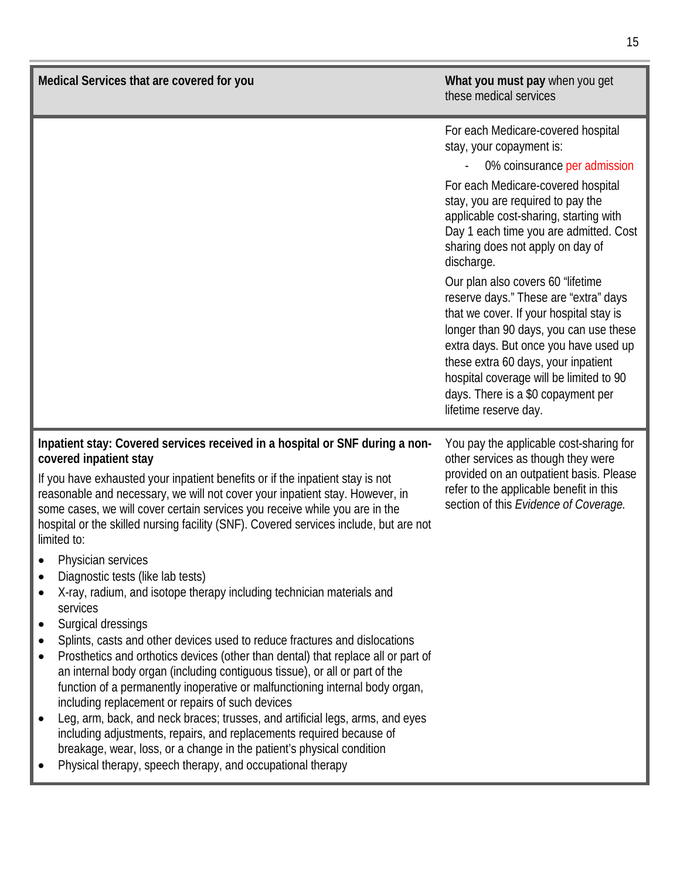| Medical Services that are covered for you                                                                                                                                                                                                                                                                                                                                                                                                                                                                                                                                                                                                                                                                                                                                                                                                                                                                                                                                                                                                                                                                                                                                                                                                                                                                                                            | What you must pay when you get<br>these medical services                                                                                                                                                                                                                                                                                                                                                                                                                                                                                                                                                                                                                     |
|------------------------------------------------------------------------------------------------------------------------------------------------------------------------------------------------------------------------------------------------------------------------------------------------------------------------------------------------------------------------------------------------------------------------------------------------------------------------------------------------------------------------------------------------------------------------------------------------------------------------------------------------------------------------------------------------------------------------------------------------------------------------------------------------------------------------------------------------------------------------------------------------------------------------------------------------------------------------------------------------------------------------------------------------------------------------------------------------------------------------------------------------------------------------------------------------------------------------------------------------------------------------------------------------------------------------------------------------------|------------------------------------------------------------------------------------------------------------------------------------------------------------------------------------------------------------------------------------------------------------------------------------------------------------------------------------------------------------------------------------------------------------------------------------------------------------------------------------------------------------------------------------------------------------------------------------------------------------------------------------------------------------------------------|
|                                                                                                                                                                                                                                                                                                                                                                                                                                                                                                                                                                                                                                                                                                                                                                                                                                                                                                                                                                                                                                                                                                                                                                                                                                                                                                                                                      | For each Medicare-covered hospital<br>stay, your copayment is:<br>0% coinsurance per admission<br>For each Medicare-covered hospital<br>stay, you are required to pay the<br>applicable cost-sharing, starting with<br>Day 1 each time you are admitted. Cost<br>sharing does not apply on day of<br>discharge.<br>Our plan also covers 60 "lifetime<br>reserve days." These are "extra" days<br>that we cover. If your hospital stay is<br>longer than 90 days, you can use these<br>extra days. But once you have used up<br>these extra 60 days, your inpatient<br>hospital coverage will be limited to 90<br>days. There is a \$0 copayment per<br>lifetime reserve day. |
| Inpatient stay: Covered services received in a hospital or SNF during a non-<br>covered inpatient stay<br>If you have exhausted your inpatient benefits or if the inpatient stay is not<br>reasonable and necessary, we will not cover your inpatient stay. However, in<br>some cases, we will cover certain services you receive while you are in the<br>hospital or the skilled nursing facility (SNF). Covered services include, but are not<br>limited to:<br>Physician services<br>Diagnostic tests (like lab tests)<br>X-ray, radium, and isotope therapy including technician materials and<br>services<br>Surgical dressings<br>$\bullet$<br>Splints, casts and other devices used to reduce fractures and dislocations<br>Prosthetics and orthotics devices (other than dental) that replace all or part of<br>$\bullet$<br>an internal body organ (including contiguous tissue), or all or part of the<br>function of a permanently inoperative or malfunctioning internal body organ,<br>including replacement or repairs of such devices<br>Leg, arm, back, and neck braces; trusses, and artificial legs, arms, and eyes<br>including adjustments, repairs, and replacements required because of<br>breakage, wear, loss, or a change in the patient's physical condition<br>Physical therapy, speech therapy, and occupational therapy | You pay the applicable cost-sharing for<br>other services as though they were<br>provided on an outpatient basis. Please<br>refer to the applicable benefit in this<br>section of this Evidence of Coverage.                                                                                                                                                                                                                                                                                                                                                                                                                                                                 |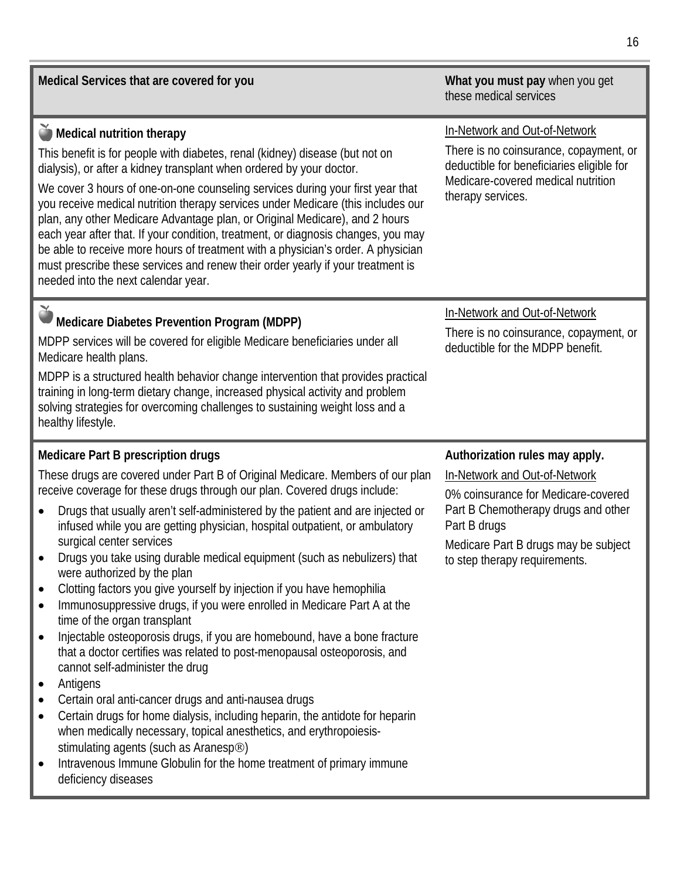**Medical Services that are covered for you What you must pay** when you get these medical services **Medical nutrition therapy** This benefit is for people with diabetes, renal (kidney) disease (but not on dialysis), or after a kidney transplant when ordered by your doctor. We cover 3 hours of one-on-one counseling services during your first year that you receive medical nutrition therapy services under Medicare (this includes our plan, any other Medicare Advantage plan, or Original Medicare), and 2 hours each year after that. If your condition, treatment, or diagnosis changes, you may be able to receive more hours of treatment with a physician's order. A physician must prescribe these services and renew their order yearly if your treatment is needed into the next calendar year. In-Network and Out-of-Network There is no coinsurance, copayment, or deductible for beneficiaries eligible for Medicare-covered medical nutrition therapy services. **Medicare Diabetes Prevention Program (MDPP)** MDPP services will be covered for eligible Medicare beneficiaries under all Medicare health plans. MDPP is a structured health behavior change intervention that provides practical training in long-term dietary change, increased physical activity and problem solving strategies for overcoming challenges to sustaining weight loss and a healthy lifestyle. In-Network and Out-of-Network There is no coinsurance, copayment, or deductible for the MDPP benefit. **Medicare Part B prescription drugs**  These drugs are covered under Part B of Original Medicare. Members of our plan receive coverage for these drugs through our plan. Covered drugs include: **Authorization rules may apply.** In-Network and Out-of-Network

- Drugs that usually aren't self-administered by the patient and are injected or infused while you are getting physician, hospital outpatient, or ambulatory surgical center services
- Drugs you take using durable medical equipment (such as nebulizers) that were authorized by the plan
- Clotting factors you give yourself by injection if you have hemophilia
- Immunosuppressive drugs, if you were enrolled in Medicare Part A at the time of the organ transplant
- Injectable osteoporosis drugs, if you are homebound, have a bone fracture that a doctor certifies was related to post-menopausal osteoporosis, and cannot self-administer the drug
- Antigens
- Certain oral anti-cancer drugs and anti-nausea drugs
- Certain drugs for home dialysis, including heparin, the antidote for heparin when medically necessary, topical anesthetics, and erythropoiesisstimulating agents (such as Aranesp<sup>®</sup>)
- Intravenous Immune Globulin for the home treatment of primary immune deficiency diseases

0% coinsurance for Medicare-covered Part B Chemotherapy drugs and other Part B drugs

Medicare Part B drugs may be subject to step therapy requirements.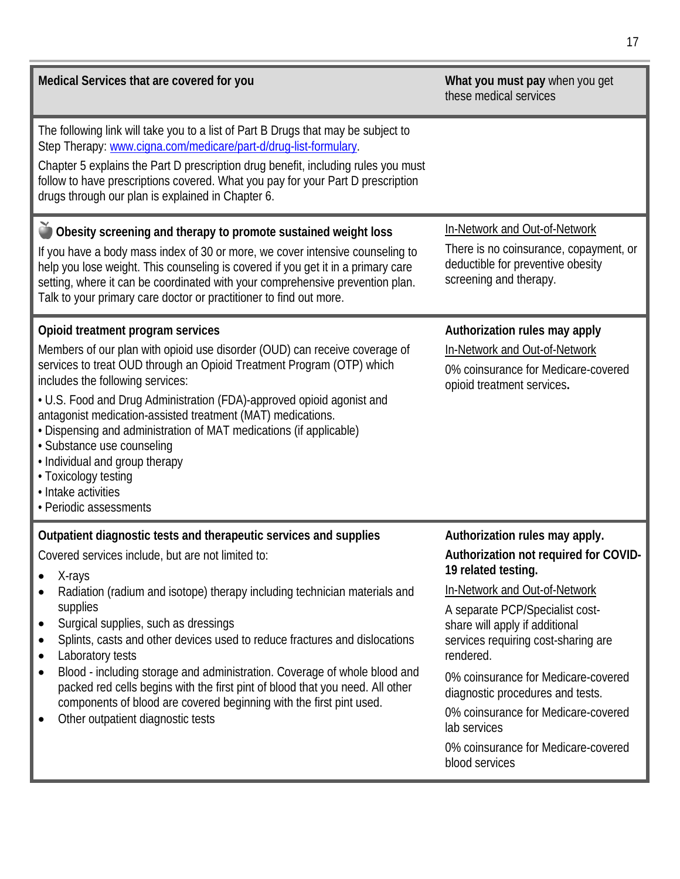| Medical Services that are covered for you                                                                                                                                                                                                                                                                                                                                                                                                                                                                                                                                                                                                                  | What you must pay when you get<br>these medical services                                                                                                                                                                                                                                                                                                                                                                                            |
|------------------------------------------------------------------------------------------------------------------------------------------------------------------------------------------------------------------------------------------------------------------------------------------------------------------------------------------------------------------------------------------------------------------------------------------------------------------------------------------------------------------------------------------------------------------------------------------------------------------------------------------------------------|-----------------------------------------------------------------------------------------------------------------------------------------------------------------------------------------------------------------------------------------------------------------------------------------------------------------------------------------------------------------------------------------------------------------------------------------------------|
| The following link will take you to a list of Part B Drugs that may be subject to<br>Step Therapy: www.cigna.com/medicare/part-d/drug-list-formulary.<br>Chapter 5 explains the Part D prescription drug benefit, including rules you must<br>follow to have prescriptions covered. What you pay for your Part D prescription<br>drugs through our plan is explained in Chapter 6.                                                                                                                                                                                                                                                                         |                                                                                                                                                                                                                                                                                                                                                                                                                                                     |
| Obesity screening and therapy to promote sustained weight loss<br>If you have a body mass index of 30 or more, we cover intensive counseling to<br>help you lose weight. This counseling is covered if you get it in a primary care<br>setting, where it can be coordinated with your comprehensive prevention plan.<br>Talk to your primary care doctor or practitioner to find out more.                                                                                                                                                                                                                                                                 | In-Network and Out-of-Network<br>There is no coinsurance, copayment, or<br>deductible for preventive obesity<br>screening and therapy.                                                                                                                                                                                                                                                                                                              |
| Opioid treatment program services<br>Members of our plan with opioid use disorder (OUD) can receive coverage of<br>services to treat OUD through an Opioid Treatment Program (OTP) which<br>includes the following services:<br>• U.S. Food and Drug Administration (FDA)-approved opioid agonist and<br>antagonist medication-assisted treatment (MAT) medications.<br>• Dispensing and administration of MAT medications (if applicable)<br>· Substance use counseling<br>• Individual and group therapy<br>• Toxicology testing<br>• Intake activities<br>• Periodic assessments                                                                        | Authorization rules may apply<br>In-Network and Out-of-Network<br>0% coinsurance for Medicare-covered<br>opioid treatment services.                                                                                                                                                                                                                                                                                                                 |
| Outpatient diagnostic tests and therapeutic services and supplies<br>Covered services include, but are not limited to:<br>X-rays<br>Radiation (radium and isotope) therapy including technician materials and<br>supplies<br>Surgical supplies, such as dressings<br>$\bullet$<br>Splints, casts and other devices used to reduce fractures and dislocations<br>Laboratory tests<br>Blood - including storage and administration. Coverage of whole blood and<br>packed red cells begins with the first pint of blood that you need. All other<br>components of blood are covered beginning with the first pint used.<br>Other outpatient diagnostic tests | Authorization rules may apply.<br>Authorization not required for COVID-<br>19 related testing.<br>In-Network and Out-of-Network<br>A separate PCP/Specialist cost-<br>share will apply if additional<br>services requiring cost-sharing are<br>rendered.<br>0% coinsurance for Medicare-covered<br>diagnostic procedures and tests.<br>0% coinsurance for Medicare-covered<br>lab services<br>0% coinsurance for Medicare-covered<br>blood services |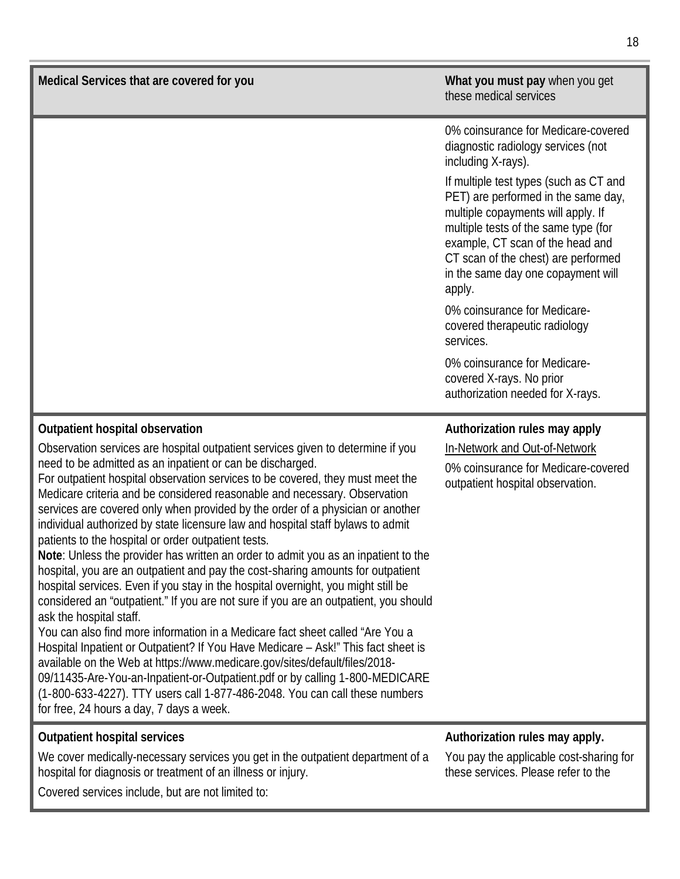| Medical Services that are covered for you                                                                                                                                                                                                                                                                                                                                                                                                                                                                                                                                                                                                                                                                                                                                                                                                                                                                                                                                                                                                                                                                                                                                                                                                                                                                                                                                                                                  | What you must pay when you get<br>these medical services                                                                                                                                                                                                                                                                                                                                                                                                                                                                                                                |  |
|----------------------------------------------------------------------------------------------------------------------------------------------------------------------------------------------------------------------------------------------------------------------------------------------------------------------------------------------------------------------------------------------------------------------------------------------------------------------------------------------------------------------------------------------------------------------------------------------------------------------------------------------------------------------------------------------------------------------------------------------------------------------------------------------------------------------------------------------------------------------------------------------------------------------------------------------------------------------------------------------------------------------------------------------------------------------------------------------------------------------------------------------------------------------------------------------------------------------------------------------------------------------------------------------------------------------------------------------------------------------------------------------------------------------------|-------------------------------------------------------------------------------------------------------------------------------------------------------------------------------------------------------------------------------------------------------------------------------------------------------------------------------------------------------------------------------------------------------------------------------------------------------------------------------------------------------------------------------------------------------------------------|--|
|                                                                                                                                                                                                                                                                                                                                                                                                                                                                                                                                                                                                                                                                                                                                                                                                                                                                                                                                                                                                                                                                                                                                                                                                                                                                                                                                                                                                                            | 0% coinsurance for Medicare-covered<br>diagnostic radiology services (not<br>including X-rays).<br>If multiple test types (such as CT and<br>PET) are performed in the same day,<br>multiple copayments will apply. If<br>multiple tests of the same type (for<br>example, CT scan of the head and<br>CT scan of the chest) are performed<br>in the same day one copayment will<br>apply.<br>0% coinsurance for Medicare-<br>covered therapeutic radiology<br>services.<br>0% coinsurance for Medicare-<br>covered X-rays. No prior<br>authorization needed for X-rays. |  |
| Outpatient hospital observation<br>Observation services are hospital outpatient services given to determine if you<br>need to be admitted as an inpatient or can be discharged.<br>For outpatient hospital observation services to be covered, they must meet the<br>Medicare criteria and be considered reasonable and necessary. Observation<br>services are covered only when provided by the order of a physician or another<br>individual authorized by state licensure law and hospital staff bylaws to admit<br>patients to the hospital or order outpatient tests.<br>Note: Unless the provider has written an order to admit you as an inpatient to the<br>hospital, you are an outpatient and pay the cost-sharing amounts for outpatient<br>hospital services. Even if you stay in the hospital overnight, you might still be<br>considered an "outpatient." If you are not sure if you are an outpatient, you should<br>ask the hospital staff.<br>You can also find more information in a Medicare fact sheet called "Are You a<br>Hospital Inpatient or Outpatient? If You Have Medicare - Ask!" This fact sheet is<br>available on the Web at https://www.medicare.gov/sites/default/files/2018-<br>09/11435-Are-You-an-Inpatient-or-Outpatient.pdf or by calling 1-800-MEDICARE<br>(1-800-633-4227). TTY users call 1-877-486-2048. You can call these numbers<br>for free, 24 hours a day, 7 days a week. | Authorization rules may apply<br>In-Network and Out-of-Network<br>0% coinsurance for Medicare-covered<br>outpatient hospital observation.                                                                                                                                                                                                                                                                                                                                                                                                                               |  |
| <b>Outpatient hospital services</b><br>We cover medically-necessary services you get in the outpatient department of a<br>hospital for diagnosis or treatment of an illness or injury.                                                                                                                                                                                                                                                                                                                                                                                                                                                                                                                                                                                                                                                                                                                                                                                                                                                                                                                                                                                                                                                                                                                                                                                                                                     | Authorization rules may apply.<br>You pay the applicable cost-sharing for<br>these services. Please refer to the                                                                                                                                                                                                                                                                                                                                                                                                                                                        |  |

Covered services include, but are not limited to: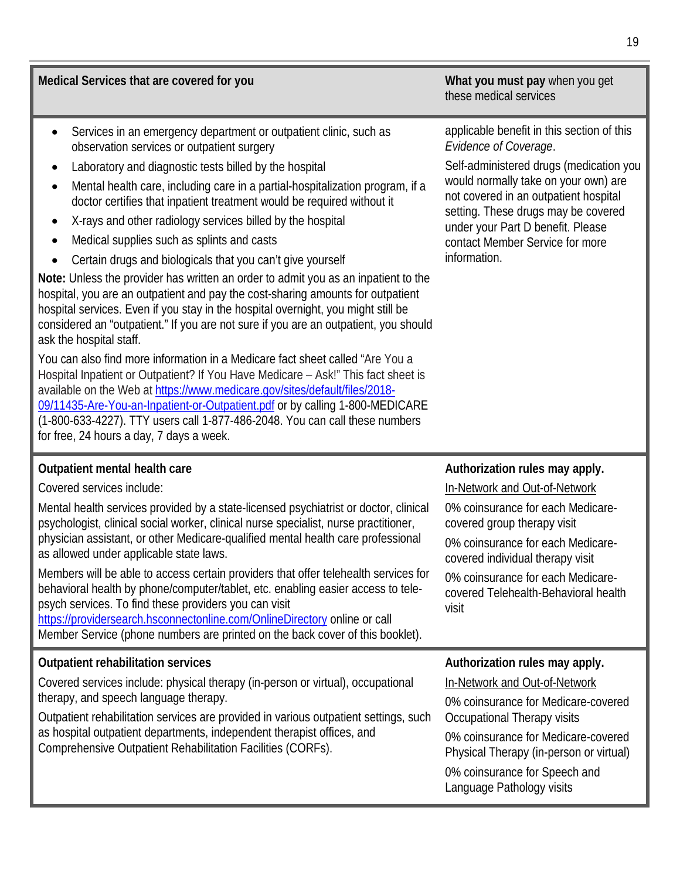| observation services or outpatient surgery                                                                                                                                                                                                                                                                                                                                                                                                                                                                                                                                                                                                                                                                                                                                                                                                                                                                                                                                                                                                                                                                                                                                                                                                                                                                   | Evidence of Coverage.                                                                                                                                                                                                                                                                 |
|--------------------------------------------------------------------------------------------------------------------------------------------------------------------------------------------------------------------------------------------------------------------------------------------------------------------------------------------------------------------------------------------------------------------------------------------------------------------------------------------------------------------------------------------------------------------------------------------------------------------------------------------------------------------------------------------------------------------------------------------------------------------------------------------------------------------------------------------------------------------------------------------------------------------------------------------------------------------------------------------------------------------------------------------------------------------------------------------------------------------------------------------------------------------------------------------------------------------------------------------------------------------------------------------------------------|---------------------------------------------------------------------------------------------------------------------------------------------------------------------------------------------------------------------------------------------------------------------------------------|
| Laboratory and diagnostic tests billed by the hospital<br>$\bullet$<br>Mental health care, including care in a partial-hospitalization program, if a<br>$\bullet$<br>doctor certifies that inpatient treatment would be required without it<br>X-rays and other radiology services billed by the hospital<br>$\bullet$<br>Medical supplies such as splints and casts<br>$\bullet$<br>Certain drugs and biologicals that you can't give yourself<br>$\bullet$<br>Note: Unless the provider has written an order to admit you as an inpatient to the<br>hospital, you are an outpatient and pay the cost-sharing amounts for outpatient<br>hospital services. Even if you stay in the hospital overnight, you might still be<br>considered an "outpatient." If you are not sure if you are an outpatient, you should<br>ask the hospital staff.<br>You can also find more information in a Medicare fact sheet called "Are You a<br>Hospital Inpatient or Outpatient? If You Have Medicare - Ask!" This fact sheet is<br>available on the Web at https://www.medicare.gov/sites/default/files/2018-<br>09/11435-Are-You-an-Inpatient-or-Outpatient.pdf or by calling 1-800-MEDICARE<br>(1-800-633-4227). TTY users call 1-877-486-2048. You can call these numbers<br>for free, 24 hours a day, 7 days a week. | Self-administered drugs (medication you<br>would normally take on your own) are<br>not covered in an outpatient hospital<br>setting. These drugs may be covered<br>under your Part D benefit. Please<br>contact Member Service for more<br>information.                               |
| Outpatient mental health care<br>Covered services include:                                                                                                                                                                                                                                                                                                                                                                                                                                                                                                                                                                                                                                                                                                                                                                                                                                                                                                                                                                                                                                                                                                                                                                                                                                                   | Authorization rules may apply.<br>In-Network and Out-of-Network                                                                                                                                                                                                                       |
| Mental health services provided by a state-licensed psychiatrist or doctor, clinical<br>psychologist, clinical social worker, clinical nurse specialist, nurse practitioner,<br>physician assistant, or other Medicare-qualified mental health care professional<br>as allowed under applicable state laws.<br>Members will be able to access certain providers that offer telehealth services for<br>behavioral health by phone/computer/tablet, etc. enabling easier access to tele-<br>psych services. To find these providers you can visit<br>https://providersearch.hsconnectonline.com/OnlineDirectory online or call<br>Member Service (phone numbers are printed on the back cover of this booklet).                                                                                                                                                                                                                                                                                                                                                                                                                                                                                                                                                                                                | 0% coinsurance for each Medicare-<br>covered group therapy visit<br>0% coinsurance for each Medicare-<br>covered individual therapy visit<br>0% coinsurance for each Medicare-<br>covered Telehealth-Behavioral health<br>visit                                                       |
| <b>Outpatient rehabilitation services</b><br>Covered services include: physical therapy (in-person or virtual), occupational<br>therapy, and speech language therapy.<br>Outpatient rehabilitation services are provided in various outpatient settings, such<br>as hospital outpatient departments, independent therapist offices, and<br>Comprehensive Outpatient Rehabilitation Facilities (CORFs).                                                                                                                                                                                                                                                                                                                                                                                                                                                                                                                                                                                                                                                                                                                                                                                                                                                                                                       | Authorization rules may apply.<br>In-Network and Out-of-Network<br>0% coinsurance for Medicare-covered<br>Occupational Therapy visits<br>0% coinsurance for Medicare-covered<br>Physical Therapy (in-person or virtual)<br>0% coinsurance for Speech and<br>Language Pathology visits |

**Medical Services that are covered for you <b>What you must pay when you get What you must pay** when you get

• Services in an emergency department or outpatient clinic, such as

19

these medical services

applicable benefit in this section of this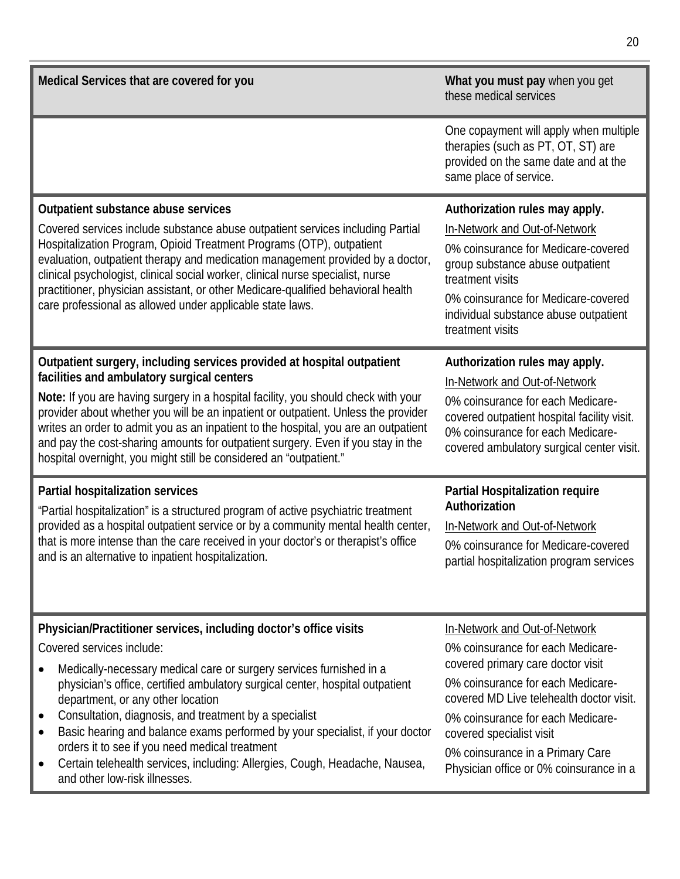| Medical Services that are covered for you                                                                                                                                                                                                                                                                                                                                                                                                                                                                                                                                                                                                           | What you must pay when you get<br>these medical services                                                                                                                                                                                                                                                                                 |  |
|-----------------------------------------------------------------------------------------------------------------------------------------------------------------------------------------------------------------------------------------------------------------------------------------------------------------------------------------------------------------------------------------------------------------------------------------------------------------------------------------------------------------------------------------------------------------------------------------------------------------------------------------------------|------------------------------------------------------------------------------------------------------------------------------------------------------------------------------------------------------------------------------------------------------------------------------------------------------------------------------------------|--|
|                                                                                                                                                                                                                                                                                                                                                                                                                                                                                                                                                                                                                                                     | One copayment will apply when multiple<br>therapies (such as PT, OT, ST) are<br>provided on the same date and at the<br>same place of service.                                                                                                                                                                                           |  |
| Outpatient substance abuse services<br>Covered services include substance abuse outpatient services including Partial<br>Hospitalization Program, Opioid Treatment Programs (OTP), outpatient<br>evaluation, outpatient therapy and medication management provided by a doctor,<br>clinical psychologist, clinical social worker, clinical nurse specialist, nurse<br>practitioner, physician assistant, or other Medicare-qualified behavioral health<br>care professional as allowed under applicable state laws.                                                                                                                                 | Authorization rules may apply.<br>In-Network and Out-of-Network<br>0% coinsurance for Medicare-covered<br>group substance abuse outpatient<br>treatment visits<br>0% coinsurance for Medicare-covered<br>individual substance abuse outpatient<br>treatment visits                                                                       |  |
| Outpatient surgery, including services provided at hospital outpatient<br>facilities and ambulatory surgical centers<br>Note: If you are having surgery in a hospital facility, you should check with your<br>provider about whether you will be an inpatient or outpatient. Unless the provider<br>writes an order to admit you as an inpatient to the hospital, you are an outpatient<br>and pay the cost-sharing amounts for outpatient surgery. Even if you stay in the<br>hospital overnight, you might still be considered an "outpatient."                                                                                                   | Authorization rules may apply.<br>In-Network and Out-of-Network<br>0% coinsurance for each Medicare-<br>covered outpatient hospital facility visit.<br>0% coinsurance for each Medicare-<br>covered ambulatory surgical center visit.                                                                                                    |  |
| Partial hospitalization services<br>"Partial hospitalization" is a structured program of active psychiatric treatment<br>provided as a hospital outpatient service or by a community mental health center,<br>that is more intense than the care received in your doctor's or therapist's office<br>and is an alternative to inpatient hospitalization.                                                                                                                                                                                                                                                                                             | Partial Hospitalization require<br>Authorization<br>In-Network and Out-of-Network<br>0% coinsurance for Medicare-covered<br>partial hospitalization program services                                                                                                                                                                     |  |
| Physician/Practitioner services, including doctor's office visits<br>Covered services include:<br>Medically-necessary medical care or surgery services furnished in a<br>$\bullet$<br>physician's office, certified ambulatory surgical center, hospital outpatient<br>department, or any other location<br>Consultation, diagnosis, and treatment by a specialist<br>$\bullet$<br>Basic hearing and balance exams performed by your specialist, if your doctor<br>$\bullet$<br>orders it to see if you need medical treatment<br>Certain telehealth services, including: Allergies, Cough, Headache, Nausea,<br>٠<br>and other low-risk illnesses. | In-Network and Out-of-Network<br>0% coinsurance for each Medicare-<br>covered primary care doctor visit<br>0% coinsurance for each Medicare-<br>covered MD Live telehealth doctor visit.<br>0% coinsurance for each Medicare-<br>covered specialist visit<br>0% coinsurance in a Primary Care<br>Physician office or 0% coinsurance in a |  |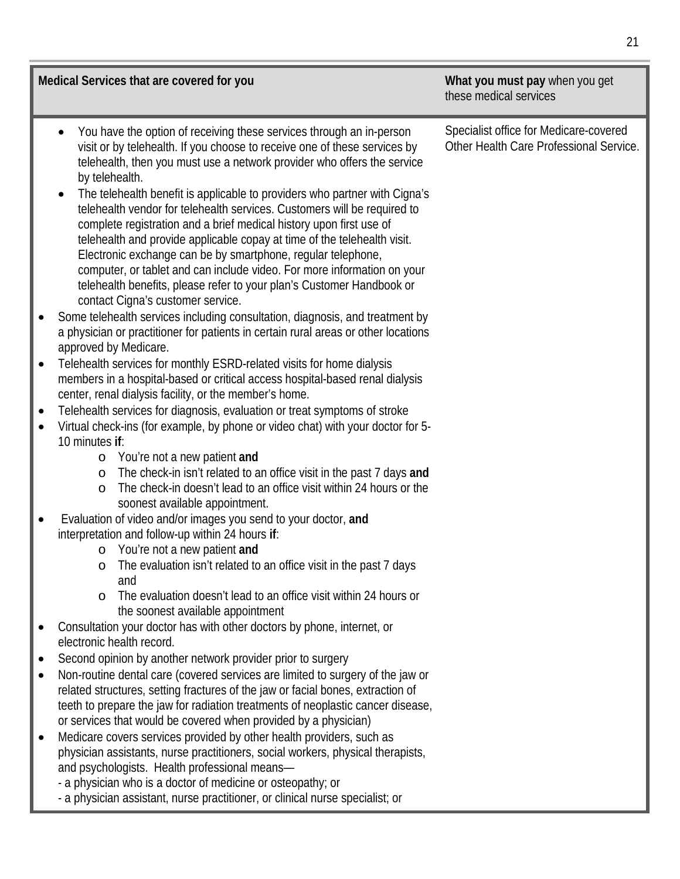| Medical Services that are covered for you                                                                                                                                                                                                                                                                                                                                                                                                                                                                                                                                                                                                                                                                                                                                                                                                                                                                                                                                                                                                                                                                                                                                                                                                                                                                                                                                                                                                                                                                                                                                                                                                                                                                                                                                                                                                                                                                                                                                                                                                                                                                                                                                                                                                                                                                                                                                                                                                                                                                                                                                                                                                                                                                                        | What you must pay when you get<br>these medical services                          |
|----------------------------------------------------------------------------------------------------------------------------------------------------------------------------------------------------------------------------------------------------------------------------------------------------------------------------------------------------------------------------------------------------------------------------------------------------------------------------------------------------------------------------------------------------------------------------------------------------------------------------------------------------------------------------------------------------------------------------------------------------------------------------------------------------------------------------------------------------------------------------------------------------------------------------------------------------------------------------------------------------------------------------------------------------------------------------------------------------------------------------------------------------------------------------------------------------------------------------------------------------------------------------------------------------------------------------------------------------------------------------------------------------------------------------------------------------------------------------------------------------------------------------------------------------------------------------------------------------------------------------------------------------------------------------------------------------------------------------------------------------------------------------------------------------------------------------------------------------------------------------------------------------------------------------------------------------------------------------------------------------------------------------------------------------------------------------------------------------------------------------------------------------------------------------------------------------------------------------------------------------------------------------------------------------------------------------------------------------------------------------------------------------------------------------------------------------------------------------------------------------------------------------------------------------------------------------------------------------------------------------------------------------------------------------------------------------------------------------------|-----------------------------------------------------------------------------------|
| You have the option of receiving these services through an in-person<br>$\bullet$<br>visit or by telehealth. If you choose to receive one of these services by<br>telehealth, then you must use a network provider who offers the service<br>by telehealth.<br>The telehealth benefit is applicable to providers who partner with Cigna's<br>$\bullet$<br>telehealth vendor for telehealth services. Customers will be required to<br>complete registration and a brief medical history upon first use of<br>telehealth and provide applicable copay at time of the telehealth visit.<br>Electronic exchange can be by smartphone, regular telephone,<br>computer, or tablet and can include video. For more information on your<br>telehealth benefits, please refer to your plan's Customer Handbook or<br>contact Cigna's customer service.<br>Some telehealth services including consultation, diagnosis, and treatment by<br>a physician or practitioner for patients in certain rural areas or other locations<br>approved by Medicare.<br>Telehealth services for monthly ESRD-related visits for home dialysis<br>$\bullet$<br>members in a hospital-based or critical access hospital-based renal dialysis<br>center, renal dialysis facility, or the member's home.<br>Telehealth services for diagnosis, evaluation or treat symptoms of stroke<br>$\bullet$<br>Virtual check-ins (for example, by phone or video chat) with your doctor for 5-<br>$\bullet$<br>10 minutes if:<br>You're not a new patient and<br>$\circ$<br>The check-in isn't related to an office visit in the past 7 days and<br>$\circ$<br>The check-in doesn't lead to an office visit within 24 hours or the<br>$\circ$<br>soonest available appointment.<br>Evaluation of video and/or images you send to your doctor, and<br>$\bullet$<br>interpretation and follow-up within 24 hours if:<br>o You're not a new patient and<br>The evaluation isn't related to an office visit in the past 7 days<br>$\circ$<br>and<br>The evaluation doesn't lead to an office visit within 24 hours or<br>$\circ$<br>the soonest available appointment<br>Consultation your doctor has with other doctors by phone, internet, or<br>electronic health record.<br>Second opinion by another network provider prior to surgery<br>$\bullet$<br>Non-routine dental care (covered services are limited to surgery of the jaw or<br>$\bullet$<br>related structures, setting fractures of the jaw or facial bones, extraction of<br>teeth to prepare the jaw for radiation treatments of neoplastic cancer disease,<br>or services that would be covered when provided by a physician)<br>Medicare covers services provided by other health providers, such as | Specialist office for Medicare-covered<br>Other Health Care Professional Service. |
| physician assistants, nurse practitioners, social workers, physical therapists,<br>and psychologists. Health professional means-<br>- a physician who is a doctor of medicine or osteopathy; or<br>- a physician assistant, nurse practitioner, or clinical nurse specialist; or                                                                                                                                                                                                                                                                                                                                                                                                                                                                                                                                                                                                                                                                                                                                                                                                                                                                                                                                                                                                                                                                                                                                                                                                                                                                                                                                                                                                                                                                                                                                                                                                                                                                                                                                                                                                                                                                                                                                                                                                                                                                                                                                                                                                                                                                                                                                                                                                                                                 |                                                                                   |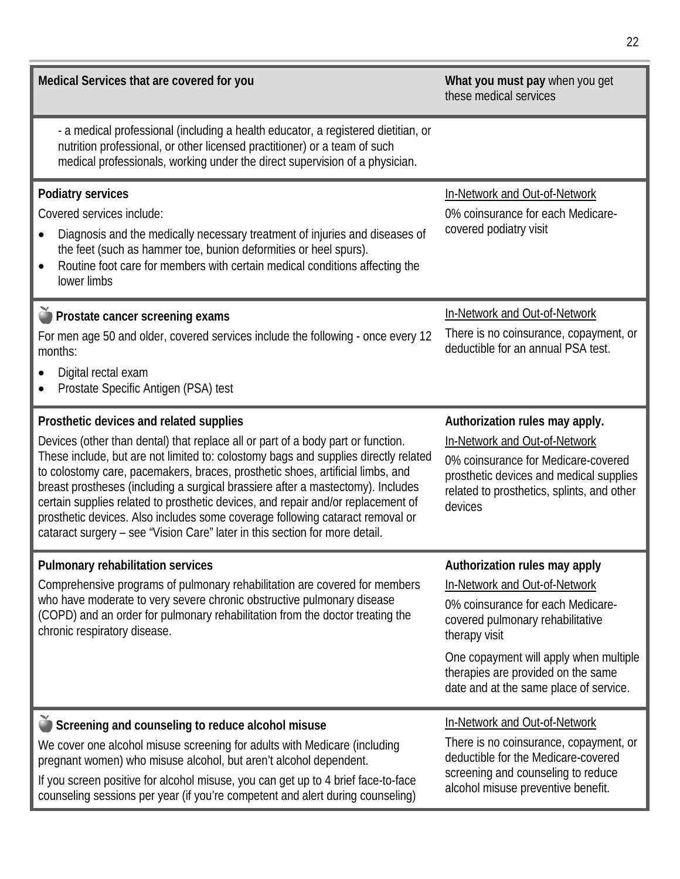| Medical Services that are covered for you                                                                                                                                                                                                                                                                                                                                                                                                                                                                                                                                                                                                   | What you must pay when you get<br>these medical services                                                                                                                                                                                                                           |  |
|---------------------------------------------------------------------------------------------------------------------------------------------------------------------------------------------------------------------------------------------------------------------------------------------------------------------------------------------------------------------------------------------------------------------------------------------------------------------------------------------------------------------------------------------------------------------------------------------------------------------------------------------|------------------------------------------------------------------------------------------------------------------------------------------------------------------------------------------------------------------------------------------------------------------------------------|--|
| - a medical professional (including a health educator, a registered dietitian, or<br>nutrition professional, or other licensed practitioner) or a team of such<br>medical professionals, working under the direct supervision of a physician.                                                                                                                                                                                                                                                                                                                                                                                               |                                                                                                                                                                                                                                                                                    |  |
| <b>Podiatry services</b><br>Covered services include:<br>Diagnosis and the medically necessary treatment of injuries and diseases of<br>the feet (such as hammer toe, bunion deformities or heel spurs).<br>Routine foot care for members with certain medical conditions affecting the<br>$\bullet$<br>lower limbs                                                                                                                                                                                                                                                                                                                         | In-Network and Out-of-Network<br>0% coinsurance for each Medicare-<br>covered podiatry visit                                                                                                                                                                                       |  |
| Prostate cancer screening exams<br>For men age 50 and older, covered services include the following - once every 12<br>months:<br>Digital rectal exam<br>Prostate Specific Antigen (PSA) test                                                                                                                                                                                                                                                                                                                                                                                                                                               | In-Network and Out-of-Network<br>There is no coinsurance, copayment, or<br>deductible for an annual PSA test.                                                                                                                                                                      |  |
| Prosthetic devices and related supplies<br>Devices (other than dental) that replace all or part of a body part or function.<br>These include, but are not limited to: colostomy bags and supplies directly related<br>to colostomy care, pacemakers, braces, prosthetic shoes, artificial limbs, and<br>breast prostheses (including a surgical brassiere after a mastectomy). Includes<br>certain supplies related to prosthetic devices, and repair and/or replacement of<br>prosthetic devices. Also includes some coverage following cataract removal or<br>cataract surgery - see "Vision Care" later in this section for more detail. | Authorization rules may apply.<br>In-Network and Out-of-Network<br>0% coinsurance for Medicare-covered<br>prosthetic devices and medical supplies<br>related to prosthetics, splints, and other<br>devices                                                                         |  |
| Pulmonary rehabilitation services<br>Comprehensive programs of pulmonary rehabilitation are covered for members<br>who have moderate to very severe chronic obstructive pulmonary disease<br>(COPD) and an order for pulmonary rehabilitation from the doctor treating the<br>chronic respiratory disease.                                                                                                                                                                                                                                                                                                                                  | Authorization rules may apply<br>In-Network and Out-of-Network<br>0% coinsurance for each Medicare-<br>covered pulmonary rehabilitative<br>therapy visit<br>One copayment will apply when multiple<br>therapies are provided on the same<br>date and at the same place of service. |  |
| Screening and counseling to reduce alcohol misuse<br>We cover one alcohol misuse screening for adults with Medicare (including<br>pregnant women) who misuse alcohol, but aren't alcohol dependent.<br>If you screen positive for alcohol misuse, you can get up to 4 brief face-to-face<br>counseling sessions per year (if you're competent and alert during counseling)                                                                                                                                                                                                                                                                  | In-Network and Out-of-Network<br>There is no coinsurance, copayment, or<br>deductible for the Medicare-covered<br>screening and counseling to reduce<br>alcohol misuse preventive benefit.                                                                                         |  |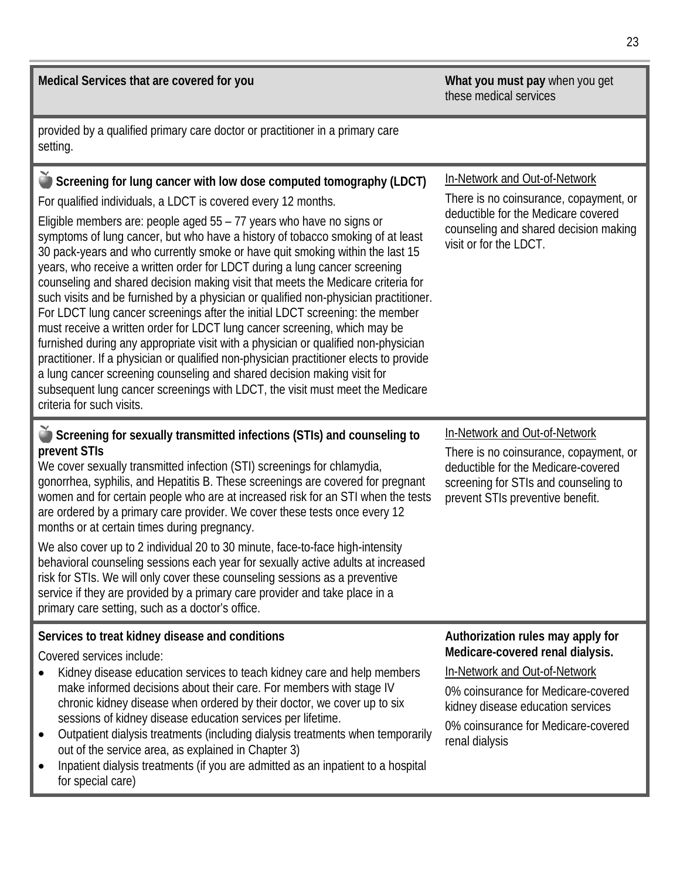| Medical Services that are covered for you                                                                                                                                                                                                                                                                                                                                                                                                                                                                                                                                                                                                                                                                                                                                                                                                                                                                                                                                                                                                                                                                                                                                        | What you must pay when you get<br>these medical services                                                                                                                                                                                    |  |
|----------------------------------------------------------------------------------------------------------------------------------------------------------------------------------------------------------------------------------------------------------------------------------------------------------------------------------------------------------------------------------------------------------------------------------------------------------------------------------------------------------------------------------------------------------------------------------------------------------------------------------------------------------------------------------------------------------------------------------------------------------------------------------------------------------------------------------------------------------------------------------------------------------------------------------------------------------------------------------------------------------------------------------------------------------------------------------------------------------------------------------------------------------------------------------|---------------------------------------------------------------------------------------------------------------------------------------------------------------------------------------------------------------------------------------------|--|
| provided by a qualified primary care doctor or practitioner in a primary care<br>setting.                                                                                                                                                                                                                                                                                                                                                                                                                                                                                                                                                                                                                                                                                                                                                                                                                                                                                                                                                                                                                                                                                        |                                                                                                                                                                                                                                             |  |
| Screening for lung cancer with low dose computed tomography (LDCT)<br>For qualified individuals, a LDCT is covered every 12 months.<br>Eligible members are: people aged $55 - 77$ years who have no signs or<br>symptoms of lung cancer, but who have a history of tobacco smoking of at least<br>30 pack-years and who currently smoke or have quit smoking within the last 15<br>years, who receive a written order for LDCT during a lung cancer screening<br>counseling and shared decision making visit that meets the Medicare criteria for<br>such visits and be furnished by a physician or qualified non-physician practitioner.<br>For LDCT lung cancer screenings after the initial LDCT screening: the member<br>must receive a written order for LDCT lung cancer screening, which may be<br>furnished during any appropriate visit with a physician or qualified non-physician<br>practitioner. If a physician or qualified non-physician practitioner elects to provide<br>a lung cancer screening counseling and shared decision making visit for<br>subsequent lung cancer screenings with LDCT, the visit must meet the Medicare<br>criteria for such visits. | In-Network and Out-of-Network<br>There is no coinsurance, copayment, or<br>deductible for the Medicare covered<br>counseling and shared decision making<br>visit or for the LDCT.                                                           |  |
| Screening for sexually transmitted infections (STIs) and counseling to<br>prevent STIs<br>We cover sexually transmitted infection (STI) screenings for chlamydia,<br>gonorrhea, syphilis, and Hepatitis B. These screenings are covered for pregnant<br>women and for certain people who are at increased risk for an STI when the tests<br>are ordered by a primary care provider. We cover these tests once every 12<br>months or at certain times during pregnancy.<br>We also cover up to 2 individual 20 to 30 minute, face-to-face high-intensity<br>behavioral counseling sessions each year for sexually active adults at increased<br>risk for STIs. We will only cover these counseling sessions as a preventive<br>service if they are provided by a primary care provider and take place in a<br>primary care setting, such as a doctor's office.                                                                                                                                                                                                                                                                                                                    | In-Network and Out-of-Network<br>There is no coinsurance, copayment, or<br>deductible for the Medicare-covered<br>screening for STIs and counseling to<br>prevent STIs preventive benefit.                                                  |  |
| Services to treat kidney disease and conditions<br>Covered services include:<br>Kidney disease education services to teach kidney care and help members<br>make informed decisions about their care. For members with stage IV<br>chronic kidney disease when ordered by their doctor, we cover up to six<br>sessions of kidney disease education services per lifetime.<br>Outpatient dialysis treatments (including dialysis treatments when temporarily<br>$\bullet$<br>out of the service area, as explained in Chapter 3)<br>Inpatient dialysis treatments (if you are admitted as an inpatient to a hospital<br>$\bullet$                                                                                                                                                                                                                                                                                                                                                                                                                                                                                                                                                  | Authorization rules may apply for<br>Medicare-covered renal dialysis.<br>In-Network and Out-of-Network<br>0% coinsurance for Medicare-covered<br>kidney disease education services<br>0% coinsurance for Medicare-covered<br>renal dialysis |  |

for special care)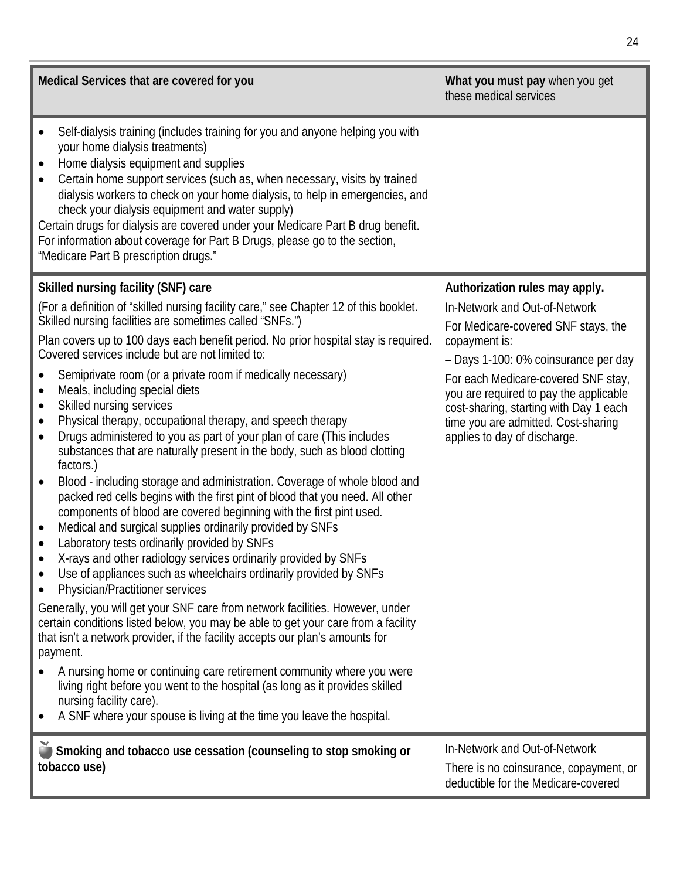| Medical Services that are covered for you                                                                                                                                                                                                                                                                                                                                                                                                                                                                                                                                                                                                                                                                                                                                                                                                                                                                                                                                                                                                                                                                                                                                                                                                                                                                                                                                                                                                                                                                                                                                                                                                                                                                                                                                                                                      | What you must pay when you get<br>these medical services                                                                                                                                                                                                                                                                                                          |
|--------------------------------------------------------------------------------------------------------------------------------------------------------------------------------------------------------------------------------------------------------------------------------------------------------------------------------------------------------------------------------------------------------------------------------------------------------------------------------------------------------------------------------------------------------------------------------------------------------------------------------------------------------------------------------------------------------------------------------------------------------------------------------------------------------------------------------------------------------------------------------------------------------------------------------------------------------------------------------------------------------------------------------------------------------------------------------------------------------------------------------------------------------------------------------------------------------------------------------------------------------------------------------------------------------------------------------------------------------------------------------------------------------------------------------------------------------------------------------------------------------------------------------------------------------------------------------------------------------------------------------------------------------------------------------------------------------------------------------------------------------------------------------------------------------------------------------|-------------------------------------------------------------------------------------------------------------------------------------------------------------------------------------------------------------------------------------------------------------------------------------------------------------------------------------------------------------------|
| Self-dialysis training (includes training for you and anyone helping you with<br>your home dialysis treatments)<br>Home dialysis equipment and supplies<br>$\bullet$<br>Certain home support services (such as, when necessary, visits by trained<br>dialysis workers to check on your home dialysis, to help in emergencies, and<br>check your dialysis equipment and water supply)<br>Certain drugs for dialysis are covered under your Medicare Part B drug benefit.<br>For information about coverage for Part B Drugs, please go to the section,<br>"Medicare Part B prescription drugs."                                                                                                                                                                                                                                                                                                                                                                                                                                                                                                                                                                                                                                                                                                                                                                                                                                                                                                                                                                                                                                                                                                                                                                                                                                 |                                                                                                                                                                                                                                                                                                                                                                   |
| Skilled nursing facility (SNF) care<br>(For a definition of "skilled nursing facility care," see Chapter 12 of this booklet.<br>Skilled nursing facilities are sometimes called "SNFs.")<br>Plan covers up to 100 days each benefit period. No prior hospital stay is required.<br>Covered services include but are not limited to:<br>Semiprivate room (or a private room if medically necessary)<br>Meals, including special diets<br>$\bullet$<br>Skilled nursing services<br>٠<br>Physical therapy, occupational therapy, and speech therapy<br>$\bullet$<br>Drugs administered to you as part of your plan of care (This includes<br>$\bullet$<br>substances that are naturally present in the body, such as blood clotting<br>factors.)<br>Blood - including storage and administration. Coverage of whole blood and<br>$\bullet$<br>packed red cells begins with the first pint of blood that you need. All other<br>components of blood are covered beginning with the first pint used.<br>Medical and surgical supplies ordinarily provided by SNFs<br>Laboratory tests ordinarily provided by SNFs<br>X-rays and other radiology services ordinarily provided by SNFs<br>Use of appliances such as wheelchairs ordinarily provided by SNFs<br><b>Physician/Practitioner services</b><br>Generally, you will get your SNF care from network facilities. However, under<br>certain conditions listed below, you may be able to get your care from a facility<br>that isn't a network provider, if the facility accepts our plan's amounts for<br>payment.<br>A nursing home or continuing care retirement community where you were<br>living right before you went to the hospital (as long as it provides skilled<br>nursing facility care).<br>A SNF where your spouse is living at the time you leave the hospital. | Authorization rules may apply.<br>In-Network and Out-of-Network<br>For Medicare-covered SNF stays, the<br>copayment is:<br>- Days 1-100: 0% coinsurance per day<br>For each Medicare-covered SNF stay,<br>you are required to pay the applicable<br>cost-sharing, starting with Day 1 each<br>time you are admitted. Cost-sharing<br>applies to day of discharge. |
| Smoking and tobacco use cessation (counseling to stop smoking or<br>tobacco use)                                                                                                                                                                                                                                                                                                                                                                                                                                                                                                                                                                                                                                                                                                                                                                                                                                                                                                                                                                                                                                                                                                                                                                                                                                                                                                                                                                                                                                                                                                                                                                                                                                                                                                                                               | In-Network and Out-of-Network<br>There is no coinsurance, copayment, or<br>deductible for the Medicare-covered                                                                                                                                                                                                                                                    |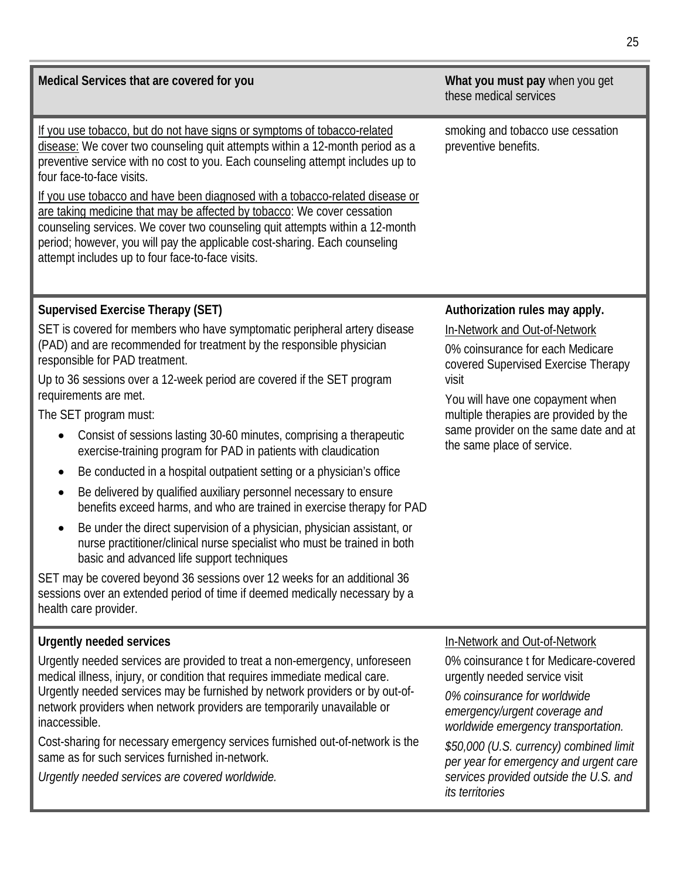| Medical Services that are covered for you                                                                                                                                                                                                                                                                                                                                                                                          | What you must pay when you get<br>these medical services                                                                                              |  |
|------------------------------------------------------------------------------------------------------------------------------------------------------------------------------------------------------------------------------------------------------------------------------------------------------------------------------------------------------------------------------------------------------------------------------------|-------------------------------------------------------------------------------------------------------------------------------------------------------|--|
| If you use tobacco, but do not have signs or symptoms of tobacco-related<br>disease: We cover two counseling quit attempts within a 12-month period as a<br>preventive service with no cost to you. Each counseling attempt includes up to<br>four face-to-face visits.<br>If you use tobacco and have been diagnosed with a tobacco-related disease or<br>are taking medicine that may be affected by tobacco: We cover cessation | smoking and tobacco use cessation<br>preventive benefits.                                                                                             |  |
| counseling services. We cover two counseling quit attempts within a 12-month<br>period; however, you will pay the applicable cost-sharing. Each counseling<br>attempt includes up to four face-to-face visits.                                                                                                                                                                                                                     |                                                                                                                                                       |  |
| <b>Supervised Exercise Therapy (SET)</b>                                                                                                                                                                                                                                                                                                                                                                                           | Authorization rules may apply.                                                                                                                        |  |
| SET is covered for members who have symptomatic peripheral artery disease<br>(PAD) and are recommended for treatment by the responsible physician<br>responsible for PAD treatment.                                                                                                                                                                                                                                                | In-Network and Out-of-Network<br>0% coinsurance for each Medicare<br>covered Supervised Exercise Therapy<br>visit<br>You will have one copayment when |  |
| Up to 36 sessions over a 12-week period are covered if the SET program<br>requirements are met.                                                                                                                                                                                                                                                                                                                                    |                                                                                                                                                       |  |
| The SET program must:                                                                                                                                                                                                                                                                                                                                                                                                              | multiple therapies are provided by the                                                                                                                |  |
| Consist of sessions lasting 30-60 minutes, comprising a therapeutic<br>$\bullet$<br>exercise-training program for PAD in patients with claudication                                                                                                                                                                                                                                                                                | same provider on the same date and at<br>the same place of service.                                                                                   |  |
| Be conducted in a hospital outpatient setting or a physician's office<br>$\bullet$                                                                                                                                                                                                                                                                                                                                                 |                                                                                                                                                       |  |
| Be delivered by qualified auxiliary personnel necessary to ensure<br>$\bullet$<br>benefits exceed harms, and who are trained in exercise therapy for PAD                                                                                                                                                                                                                                                                           |                                                                                                                                                       |  |
| Be under the direct supervision of a physician, physician assistant, or<br>$\bullet$<br>nurse practitioner/clinical nurse specialist who must be trained in both<br>basic and advanced life support techniques                                                                                                                                                                                                                     |                                                                                                                                                       |  |
| SET may be covered beyond 36 sessions over 12 weeks for an additional 36<br>sessions over an extended period of time if deemed medically necessary by a<br>health care provider.                                                                                                                                                                                                                                                   |                                                                                                                                                       |  |
| <b>Urgently needed services</b>                                                                                                                                                                                                                                                                                                                                                                                                    | In-Network and Out-of-Network                                                                                                                         |  |
| Urgently needed services are provided to treat a non-emergency, unforeseen<br>medical illness, injury, or condition that requires immediate medical care.                                                                                                                                                                                                                                                                          | 0% coinsurance t for Medicare-covered<br>urgently needed service visit                                                                                |  |
| Urgently needed services may be furnished by network providers or by out-of-<br>network providers when network providers are temporarily unavailable or<br>inaccessible.                                                                                                                                                                                                                                                           | 0% coinsurance for worldwide<br>emergency/urgent coverage and<br>worldwide emergency transportation.                                                  |  |
| Cost-sharing for necessary emergency services furnished out-of-network is the<br>same as for such services furnished in-network.                                                                                                                                                                                                                                                                                                   | \$50,000 (U.S. currency) combined limit<br>per year for emergency and urgent care                                                                     |  |
| Urgently needed services are covered worldwide.                                                                                                                                                                                                                                                                                                                                                                                    | services provided outside the U.S. and<br>its territories                                                                                             |  |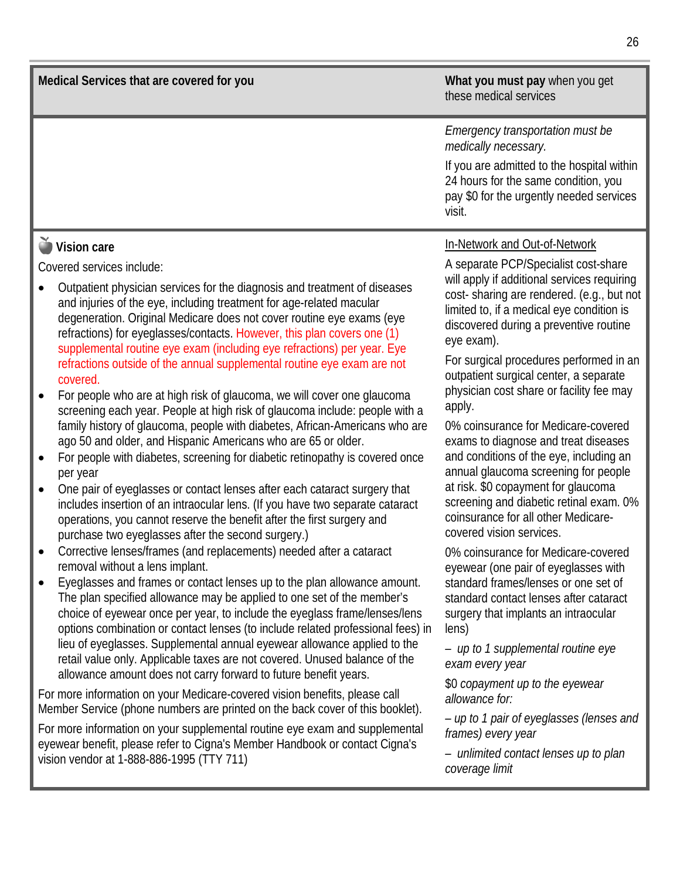**Medical Services that are covered for you What you must pay** when you get

## these medical services

*Emergency transportation must be medically necessary.*

If you are admitted to the hospital within 24 hours for the same condition, you pay \$0 for the urgently needed services visit.

## **Vision care**

Covered services include:

- Outpatient physician services for the diagnosis and treatment of diseases and injuries of the eye, including treatment for age-related macular degeneration. Original Medicare does not cover routine eye exams (eye refractions) for eyeglasses/contacts. However, this plan covers one (1) supplemental routine eye exam (including eye refractions) per year. Eye refractions outside of the annual supplemental routine eye exam are not covered.
- For people who are at high risk of glaucoma, we will cover one glaucoma screening each year. People at high risk of glaucoma include: people with a family history of glaucoma, people with diabetes, African-Americans who are ago 50 and older, and Hispanic Americans who are 65 or older.
- For people with diabetes, screening for diabetic retinopathy is covered once per year
- One pair of eyeglasses or contact lenses after each cataract surgery that includes insertion of an intraocular lens. (If you have two separate cataract operations, you cannot reserve the benefit after the first surgery and purchase two eyeglasses after the second surgery.)
- Corrective lenses/frames (and replacements) needed after a cataract removal without a lens implant.
- Eyeglasses and frames or contact lenses up to the plan allowance amount. The plan specified allowance may be applied to one set of the member's choice of eyewear once per year, to include the eyeglass frame/lenses/lens options combination or contact lenses (to include related professional fees) in lieu of eyeglasses. Supplemental annual eyewear allowance applied to the retail value only. Applicable taxes are not covered. Unused balance of the allowance amount does not carry forward to future benefit years.

For more information on your Medicare-covered vision benefits, please call Member Service (phone numbers are printed on the back cover of this booklet).

For more information on your supplemental routine eye exam and supplemental eyewear benefit, please refer to Cigna's Member Handbook or contact Cigna's vision vendor at 1-888-886-1995 (TTY 711)

#### In-Network and Out-of-Network

A separate PCP/Specialist cost-share will apply if additional services requiring cost- sharing are rendered. (e.g., but not limited to, if a medical eye condition is discovered during a preventive routine eye exam).

For surgical procedures performed in an outpatient surgical center, a separate physician cost share or facility fee may apply.

0% coinsurance for Medicare-covered exams to diagnose and treat diseases and conditions of the eye, including an annual glaucoma screening for people at risk. \$0 copayment for glaucoma screening and diabetic retinal exam. 0% coinsurance for all other Medicarecovered vision services.

0% coinsurance for Medicare-covered eyewear (one pair of eyeglasses with standard frames/lenses or one set of standard contact lenses after cataract surgery that implants an intraocular lens)

*– up to 1 supplemental routine eye exam every year*

\$0 *copayment up to the eyewear allowance for:*

*– up to 1 pair of eyeglasses (lenses and frames) every year* 

*– unlimited contact lenses up to plan coverage limit*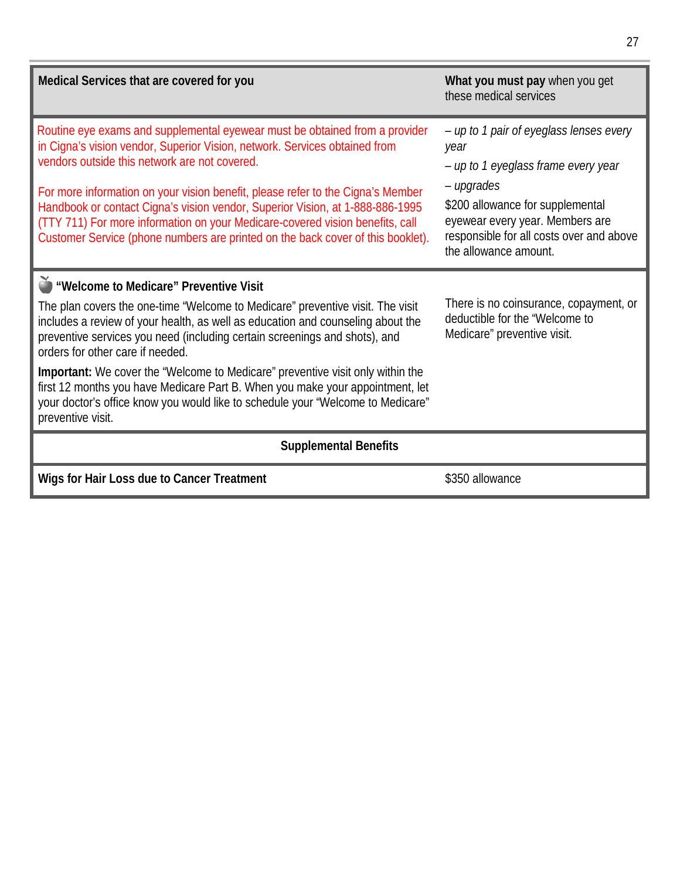| Medical Services that are covered for you                                                                                                                                                                                                                                                                                                                                                                                                                                                                                                                                                               | What you must pay when you get<br>these medical services                                                                                                                                                                                         |  |  |
|---------------------------------------------------------------------------------------------------------------------------------------------------------------------------------------------------------------------------------------------------------------------------------------------------------------------------------------------------------------------------------------------------------------------------------------------------------------------------------------------------------------------------------------------------------------------------------------------------------|--------------------------------------------------------------------------------------------------------------------------------------------------------------------------------------------------------------------------------------------------|--|--|
| Routine eye exams and supplemental eyewear must be obtained from a provider<br>in Cigna's vision vendor, Superior Vision, network. Services obtained from<br>vendors outside this network are not covered.<br>For more information on your vision benefit, please refer to the Cigna's Member<br>Handbook or contact Cigna's vision vendor, Superior Vision, at 1-888-886-1995<br>(TTY 711) For more information on your Medicare-covered vision benefits, call<br>Customer Service (phone numbers are printed on the back cover of this booklet).                                                      | - up to 1 pair of eyeglass lenses every<br>year<br>- up to 1 eyeglass frame every year<br>- upgrades<br>\$200 allowance for supplemental<br>eyewear every year. Members are<br>responsible for all costs over and above<br>the allowance amount. |  |  |
| Welcome to Medicare" Preventive Visit<br>The plan covers the one-time "Welcome to Medicare" preventive visit. The visit<br>includes a review of your health, as well as education and counseling about the<br>preventive services you need (including certain screenings and shots), and<br>orders for other care if needed.<br>Important: We cover the "Welcome to Medicare" preventive visit only within the<br>first 12 months you have Medicare Part B. When you make your appointment, let<br>your doctor's office know you would like to schedule your "Welcome to Medicare"<br>preventive visit. | There is no coinsurance, copayment, or<br>deductible for the "Welcome to<br>Medicare" preventive visit.                                                                                                                                          |  |  |
| <b>Supplemental Benefits</b>                                                                                                                                                                                                                                                                                                                                                                                                                                                                                                                                                                            |                                                                                                                                                                                                                                                  |  |  |
| Wigs for Hair Loss due to Cancer Treatment                                                                                                                                                                                                                                                                                                                                                                                                                                                                                                                                                              | \$350 allowance                                                                                                                                                                                                                                  |  |  |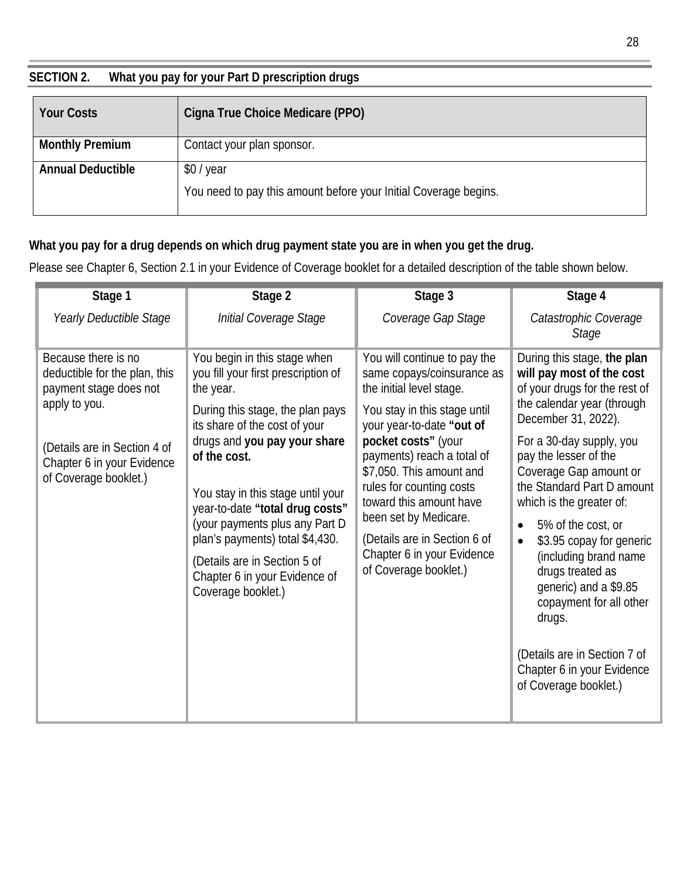## **SECTION 2. What you pay for your Part D prescription drugs**

| <b>Your Costs</b>        | Cigna True Choice Medicare (PPO)                                 |
|--------------------------|------------------------------------------------------------------|
| <b>Monthly Premium</b>   | Contact your plan sponsor.                                       |
| <b>Annual Deductible</b> | \$0/year                                                         |
|                          | You need to pay this amount before your Initial Coverage begins. |

## **What you pay for a drug depends on which drug payment state you are in when you get the drug.**

Please see Chapter 6, Section 2.1 in your Evidence of Coverage booklet for a detailed description of the table shown below.

| Stage 1                                                                                                                                                                                | Stage 2                                                                                                                                                                                                                                                                                                                                                                                                                                   | Stage 3                                                                                                                                                                                                                                                                                                                                                                                                     | Stage 4                                                                                                                                                                                                                                                                                                                                                                                                                                                                                                                                                               |
|----------------------------------------------------------------------------------------------------------------------------------------------------------------------------------------|-------------------------------------------------------------------------------------------------------------------------------------------------------------------------------------------------------------------------------------------------------------------------------------------------------------------------------------------------------------------------------------------------------------------------------------------|-------------------------------------------------------------------------------------------------------------------------------------------------------------------------------------------------------------------------------------------------------------------------------------------------------------------------------------------------------------------------------------------------------------|-----------------------------------------------------------------------------------------------------------------------------------------------------------------------------------------------------------------------------------------------------------------------------------------------------------------------------------------------------------------------------------------------------------------------------------------------------------------------------------------------------------------------------------------------------------------------|
| Yearly Deductible Stage                                                                                                                                                                | Initial Coverage Stage                                                                                                                                                                                                                                                                                                                                                                                                                    | Coverage Gap Stage                                                                                                                                                                                                                                                                                                                                                                                          | Catastrophic Coverage<br><b>Stage</b>                                                                                                                                                                                                                                                                                                                                                                                                                                                                                                                                 |
| Because there is no<br>deductible for the plan, this<br>payment stage does not<br>apply to you.<br>(Details are in Section 4 of<br>Chapter 6 in your Evidence<br>of Coverage booklet.) | You begin in this stage when<br>you fill your first prescription of<br>the year.<br>During this stage, the plan pays<br>its share of the cost of your<br>drugs and you pay your share<br>of the cost.<br>You stay in this stage until your<br>year-to-date "total drug costs"<br>(your payments plus any Part D<br>plan's payments) total \$4,430.<br>(Details are in Section 5 of<br>Chapter 6 in your Evidence of<br>Coverage booklet.) | You will continue to pay the<br>same copays/coinsurance as<br>the initial level stage.<br>You stay in this stage until<br>your year-to-date "out of<br>pocket costs" (your<br>payments) reach a total of<br>\$7,050. This amount and<br>rules for counting costs<br>toward this amount have<br>been set by Medicare.<br>(Details are in Section 6 of<br>Chapter 6 in your Evidence<br>of Coverage booklet.) | During this stage, the plan<br>will pay most of the cost<br>of your drugs for the rest of<br>the calendar year (through<br>December 31, 2022).<br>For a 30-day supply, you<br>pay the lesser of the<br>Coverage Gap amount or<br>the Standard Part D amount<br>which is the greater of:<br>5% of the cost, or<br>$\bullet$<br>\$3.95 copay for generic<br>$\bullet$<br>(including brand name<br>drugs treated as<br>generic) and a \$9.85<br>copayment for all other<br>drugs.<br>(Details are in Section 7 of<br>Chapter 6 in your Evidence<br>of Coverage booklet.) |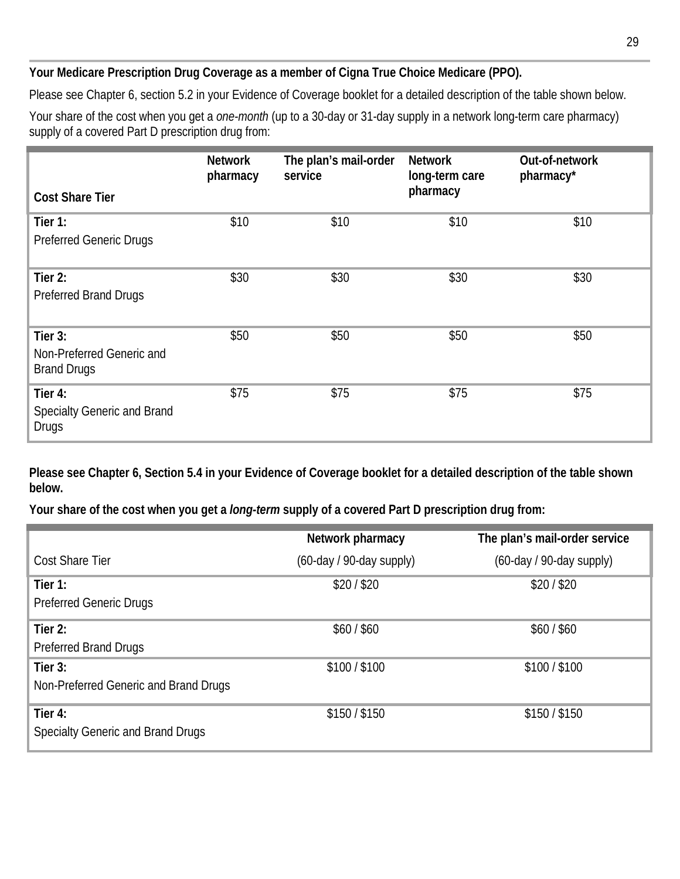#### **Your Medicare Prescription Drug Coverage as a member of Cigna True Choice Medicare (PPO).**

Please see Chapter 6, section 5.2 in your Evidence of Coverage booklet for a detailed description of the table shown below.

Your share of the cost when you get a *one-month* (up to a 30-day or 31-day supply in a network long-term care pharmacy) supply of a covered Part D prescription drug from:

|                                                               | <b>Network</b><br>pharmacy | The plan's mail-order<br>service | <b>Network</b><br>long-term care<br>pharmacy | Out-of-network<br>pharmacy* |
|---------------------------------------------------------------|----------------------------|----------------------------------|----------------------------------------------|-----------------------------|
| <b>Cost Share Tier</b>                                        |                            |                                  |                                              |                             |
| Tier $1:$<br><b>Preferred Generic Drugs</b>                   | \$10                       | \$10                             | \$10                                         | \$10                        |
| Tier 2:<br><b>Preferred Brand Drugs</b>                       | \$30                       | \$30                             | \$30                                         | \$30                        |
| Tier 3:<br>Non-Preferred Generic and<br><b>Brand Drugs</b>    | \$50                       | \$50                             | \$50                                         | \$50                        |
| Tier 4:<br><b>Specialty Generic and Brand</b><br><b>Drugs</b> | \$75                       | \$75                             | \$75                                         | \$75                        |

**Please see Chapter 6, Section 5.4 in your Evidence of Coverage booklet for a detailed description of the table shown below.** 

**Your share of the cost when you get a** *long-term* **supply of a covered Part D prescription drug from:**

|                                          | Network pharmacy         | The plan's mail-order service |
|------------------------------------------|--------------------------|-------------------------------|
| <b>Cost Share Tier</b>                   | (60-day / 90-day supply) | (60-day / 90-day supply)      |
| Tier 1:                                  | \$20/\$20                | \$20/\$20                     |
| <b>Preferred Generic Drugs</b>           |                          |                               |
| Tier $2:$                                | \$60/\$60                | \$60/\$60                     |
| <b>Preferred Brand Drugs</b>             |                          |                               |
| Tier $3:$                                | \$100 / \$100            | \$100 / \$100                 |
| Non-Preferred Generic and Brand Drugs    |                          |                               |
| Tier 4:                                  | \$150/\$150              | \$150/\$150                   |
| <b>Specialty Generic and Brand Drugs</b> |                          |                               |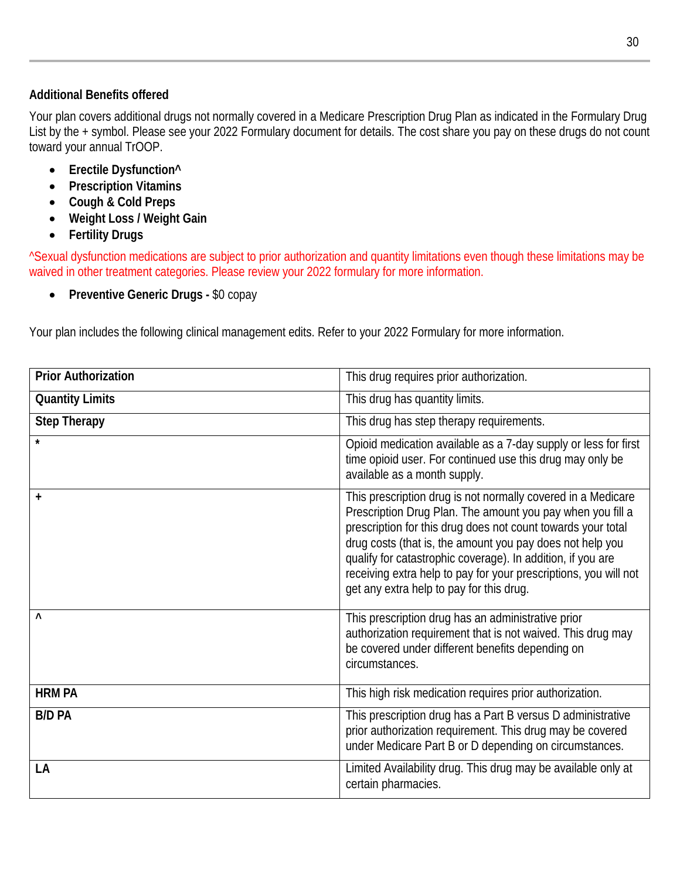#### **Additional Benefits offered**

Your plan covers additional drugs not normally covered in a Medicare Prescription Drug Plan as indicated in the Formulary Drug List by the + symbol. Please see your 2022 Formulary document for details. The cost share you pay on these drugs do not count toward your annual TrOOP.

- **Erectile Dysfunction^**
- **Prescription Vitamins**
- **Cough & Cold Preps**
- **Weight Loss / Weight Gain**
- **Fertility Drugs**

^Sexual dysfunction medications are subject to prior authorization and quantity limitations even though these limitations may be waived in other treatment categories. Please review your 2022 formulary for more information.

• **Preventive Generic Drugs -** \$0 copay

Your plan includes the following clinical management edits. Refer to your 2022 Formulary for more information.

| <b>Prior Authorization</b> | This drug requires prior authorization.                                                                                                                                                                                                                                                                                                                                                                                                |  |
|----------------------------|----------------------------------------------------------------------------------------------------------------------------------------------------------------------------------------------------------------------------------------------------------------------------------------------------------------------------------------------------------------------------------------------------------------------------------------|--|
| <b>Quantity Limits</b>     | This drug has quantity limits.                                                                                                                                                                                                                                                                                                                                                                                                         |  |
| <b>Step Therapy</b>        | This drug has step therapy requirements.                                                                                                                                                                                                                                                                                                                                                                                               |  |
|                            | Opioid medication available as a 7-day supply or less for first<br>time opioid user. For continued use this drug may only be<br>available as a month supply.                                                                                                                                                                                                                                                                           |  |
| $\ddot{}$                  | This prescription drug is not normally covered in a Medicare<br>Prescription Drug Plan. The amount you pay when you fill a<br>prescription for this drug does not count towards your total<br>drug costs (that is, the amount you pay does not help you<br>qualify for catastrophic coverage). In addition, if you are<br>receiving extra help to pay for your prescriptions, you will not<br>get any extra help to pay for this drug. |  |
| $\lambda$                  | This prescription drug has an administrative prior<br>authorization requirement that is not waived. This drug may<br>be covered under different benefits depending on<br>circumstances.                                                                                                                                                                                                                                                |  |
| <b>HRM PA</b>              | This high risk medication requires prior authorization.                                                                                                                                                                                                                                                                                                                                                                                |  |
| <b>B/D PA</b>              | This prescription drug has a Part B versus D administrative<br>prior authorization requirement. This drug may be covered<br>under Medicare Part B or D depending on circumstances.                                                                                                                                                                                                                                                     |  |
| LA                         | Limited Availability drug. This drug may be available only at<br>certain pharmacies.                                                                                                                                                                                                                                                                                                                                                   |  |